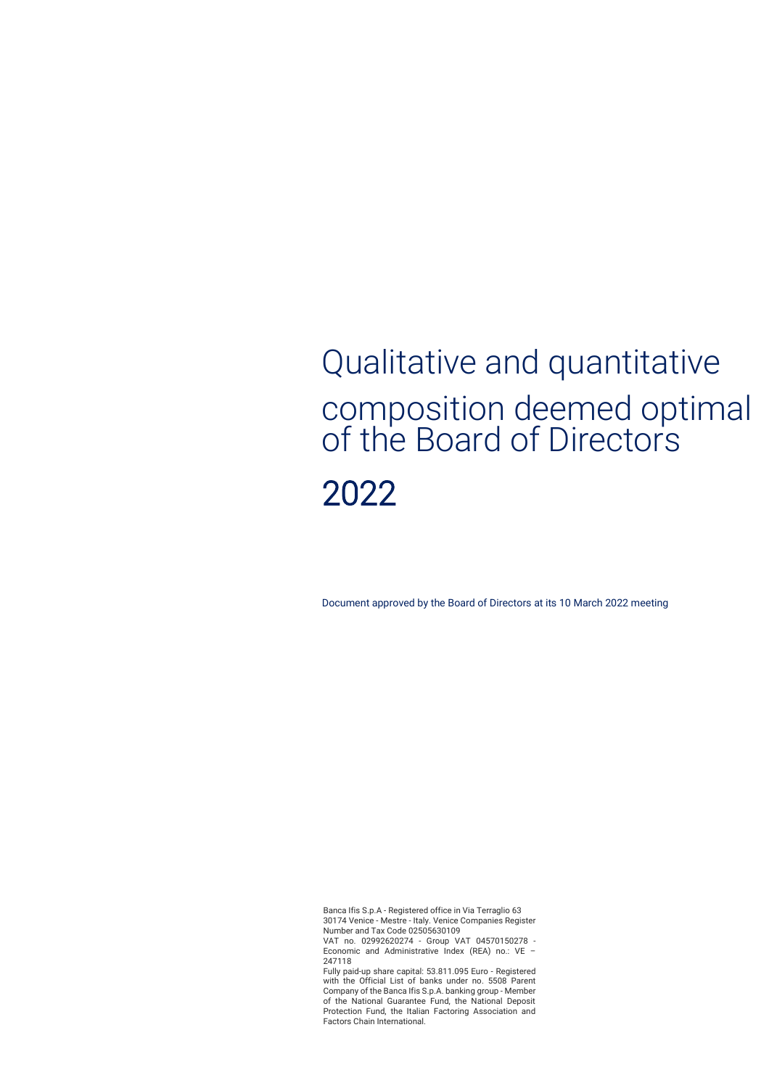# Qualitative and quantitative composition deemed optimal of the Board of Directors 2022

Document approved by the Board of Directors at its 10 March 2022 meeting

Banca Ifis S.p.A - Registered office in Via Terraglio 63 30174 Venice - Mestre - Italy. Venice Companies Register

Number and Tax Code 02505630109 VAT no. 02992620274 - Group VAT 04570150278 - Economic and Administrative Index (REA) no.: VE -247118

Fully paid-up share capital: 53.811.095 Euro - Registered with the Official List of banks under no. 5508 Parent Company of the Banca Ifis S.p.A. banking group - Member of the National Guarantee Fund, the National Deposit Protection Fund, the Italian Factoring Association and Factors Chain International.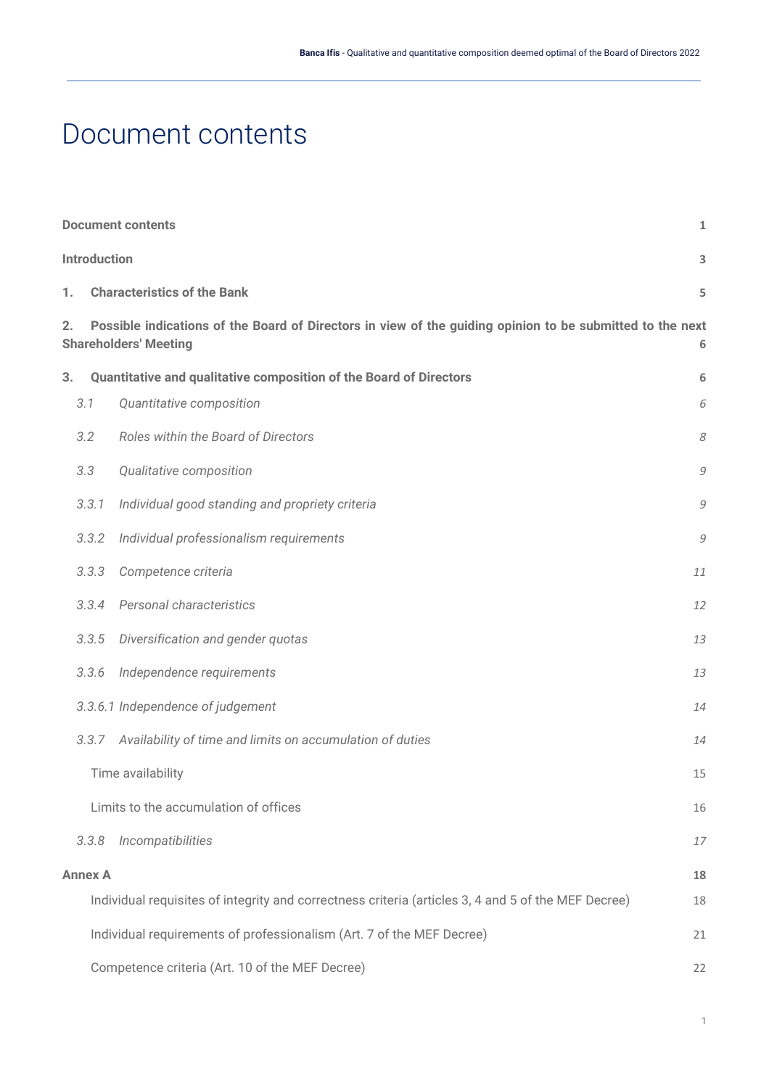# <span id="page-1-0"></span>Document contents

|                                       | <b>Document contents</b><br>$\mathbf{1}$                                                                                                       |                                                                                                     |    |  |  |  |
|---------------------------------------|------------------------------------------------------------------------------------------------------------------------------------------------|-----------------------------------------------------------------------------------------------------|----|--|--|--|
|                                       | <b>Introduction</b><br>3                                                                                                                       |                                                                                                     |    |  |  |  |
| 1.                                    |                                                                                                                                                | <b>Characteristics of the Bank</b><br>5                                                             |    |  |  |  |
| 2.                                    | Possible indications of the Board of Directors in view of the guiding opinion to be submitted to the next<br><b>Shareholders' Meeting</b><br>6 |                                                                                                     |    |  |  |  |
| 3.                                    |                                                                                                                                                | Quantitative and qualitative composition of the Board of Directors                                  | 6  |  |  |  |
|                                       | 3.1                                                                                                                                            | Quantitative composition                                                                            | 6  |  |  |  |
|                                       | 3.2                                                                                                                                            | Roles within the Board of Directors                                                                 | 8  |  |  |  |
|                                       | 3.3                                                                                                                                            | Qualitative composition                                                                             | 9  |  |  |  |
|                                       | 3.3.1                                                                                                                                          | Individual good standing and propriety criteria                                                     | 9  |  |  |  |
|                                       | 3.3.2                                                                                                                                          | Individual professionalism requirements                                                             | 9  |  |  |  |
|                                       | 3.3.3                                                                                                                                          | Competence criteria                                                                                 | 11 |  |  |  |
|                                       | 3.3.4                                                                                                                                          | Personal characteristics                                                                            | 12 |  |  |  |
|                                       | 3.3.5                                                                                                                                          | Diversification and gender quotas                                                                   | 13 |  |  |  |
|                                       | 3.3.6                                                                                                                                          | Independence requirements                                                                           | 13 |  |  |  |
|                                       |                                                                                                                                                | 3.3.6.1 Independence of judgement                                                                   | 14 |  |  |  |
|                                       | 3.3.7                                                                                                                                          | Availability of time and limits on accumulation of duties                                           | 14 |  |  |  |
|                                       |                                                                                                                                                | Time availability                                                                                   | 15 |  |  |  |
| Limits to the accumulation of offices |                                                                                                                                                |                                                                                                     | 16 |  |  |  |
|                                       | 3.3.8                                                                                                                                          | Incompatibilities                                                                                   | 17 |  |  |  |
|                                       | <b>Annex A</b><br>18                                                                                                                           |                                                                                                     |    |  |  |  |
|                                       |                                                                                                                                                | Individual requisites of integrity and correctness criteria (articles 3, 4 and 5 of the MEF Decree) | 18 |  |  |  |
|                                       |                                                                                                                                                | Individual requirements of professionalism (Art. 7 of the MEF Decree)                               | 21 |  |  |  |
|                                       |                                                                                                                                                | Competence criteria (Art. 10 of the MEF Decree)                                                     | 22 |  |  |  |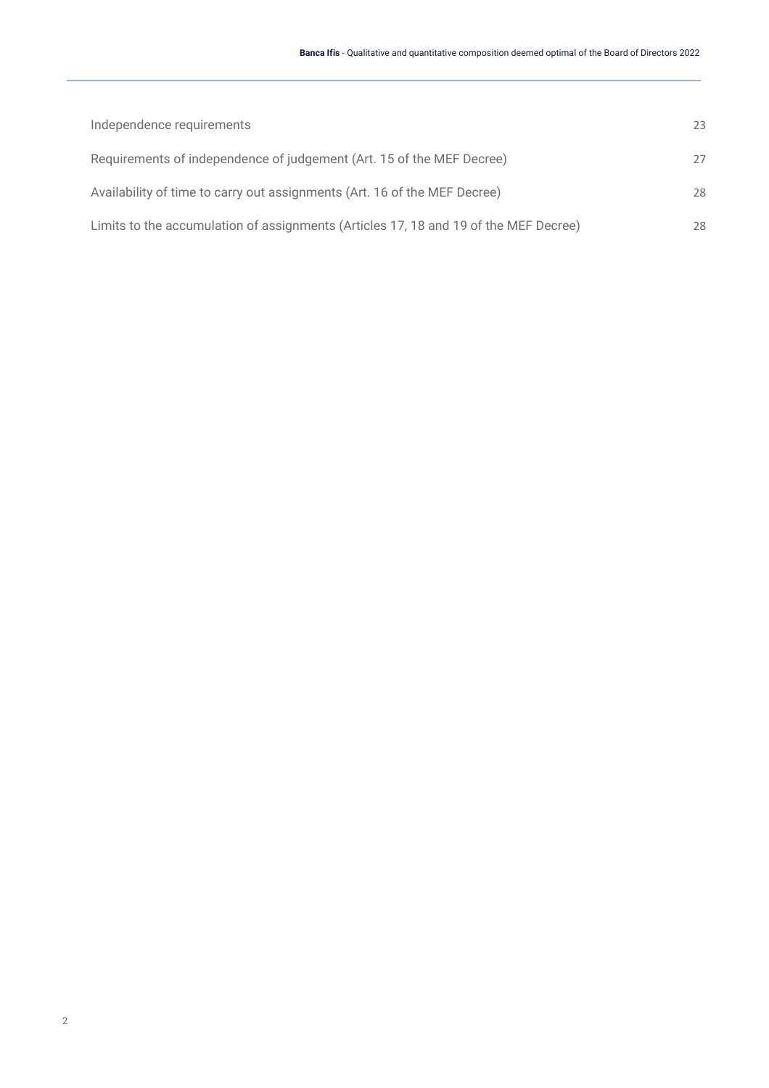| Independence requirements                                                            | 23 |
|--------------------------------------------------------------------------------------|----|
| Requirements of independence of judgement (Art. 15 of the MEF Decree)                | 27 |
| Availability of time to carry out assignments (Art. 16 of the MEF Decree)            | 28 |
| Limits to the accumulation of assignments (Articles 17, 18 and 19 of the MEF Decree) | 28 |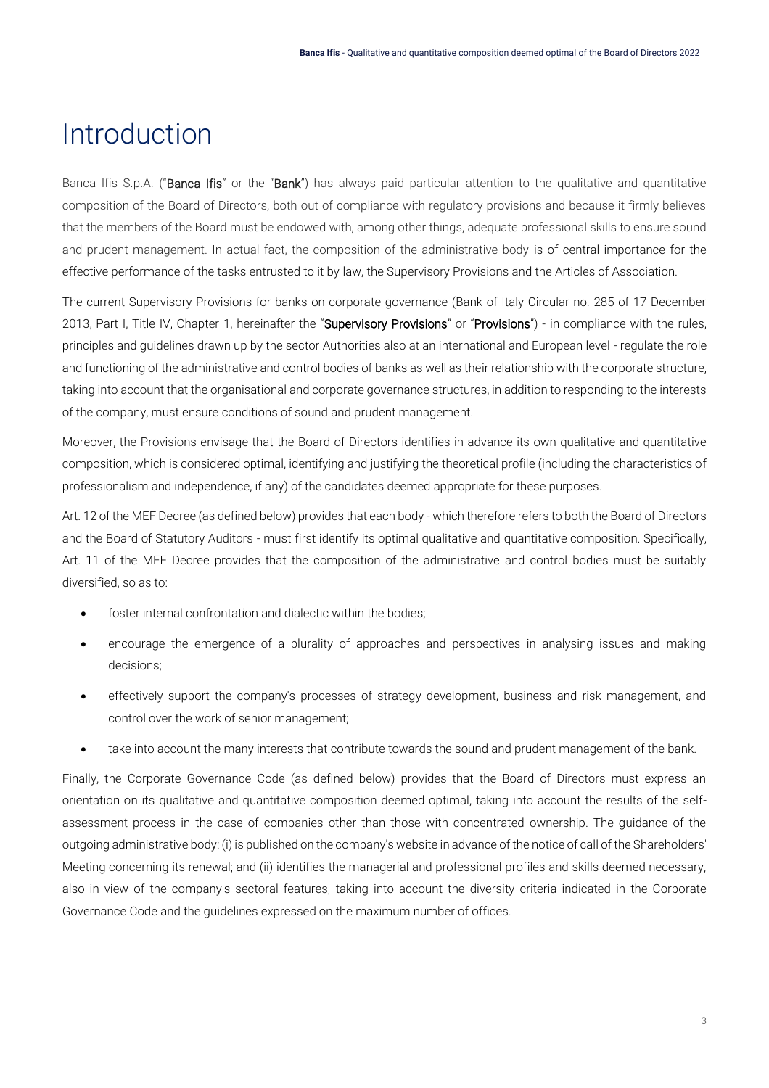# <span id="page-3-0"></span>Introduction

Banca Ifis S.p.A. ("Banca Ifis" or the "Bank") has always paid particular attention to the qualitative and quantitative composition of the Board of Directors, both out of compliance with regulatory provisions and because it firmly believes that the members of the Board must be endowed with, among other things, adequate professional skills to ensure sound and prudent management. In actual fact, the composition of the administrative body is of central importance for the effective performance of the tasks entrusted to it by law, the Supervisory Provisions and the Articles of Association.

The current Supervisory Provisions for banks on corporate governance (Bank of Italy Circular no. 285 of 17 December 2013, Part I, Title IV, Chapter 1, hereinafter the "Supervisory Provisions" or "Provisions") - in compliance with the rules, principles and guidelines drawn up by the sector Authorities also at an international and European level - regulate the role and functioning of the administrative and control bodies of banks as well as their relationship with the corporate structure, taking into account that the organisational and corporate governance structures, in addition to responding to the interests of the company, must ensure conditions of sound and prudent management.

Moreover, the Provisions envisage that the Board of Directors identifies in advance its own qualitative and quantitative composition, which is considered optimal, identifying and justifying the theoretical profile (including the characteristics of professionalism and independence, if any) of the candidates deemed appropriate for these purposes.

Art. 12 of the MEF Decree (as defined below) provides that each body - which therefore refers to both the Board of Directors and the Board of Statutory Auditors - must first identify its optimal qualitative and quantitative composition. Specifically, Art. 11 of the MEF Decree provides that the composition of the administrative and control bodies must be suitably diversified, so as to:

- foster internal confrontation and dialectic within the bodies;
- encourage the emergence of a plurality of approaches and perspectives in analysing issues and making decisions;
- effectively support the company's processes of strategy development, business and risk management, and control over the work of senior management;
- take into account the many interests that contribute towards the sound and prudent management of the bank.

Finally, the Corporate Governance Code (as defined below) provides that the Board of Directors must express an orientation on its qualitative and quantitative composition deemed optimal, taking into account the results of the selfassessment process in the case of companies other than those with concentrated ownership. The guidance of the outgoing administrative body: (i) is published on the company's website in advance of the notice of call of the Shareholders' Meeting concerning its renewal; and (ii) identifies the managerial and professional profiles and skills deemed necessary, also in view of the company's sectoral features, taking into account the diversity criteria indicated in the Corporate Governance Code and the guidelines expressed on the maximum number of offices.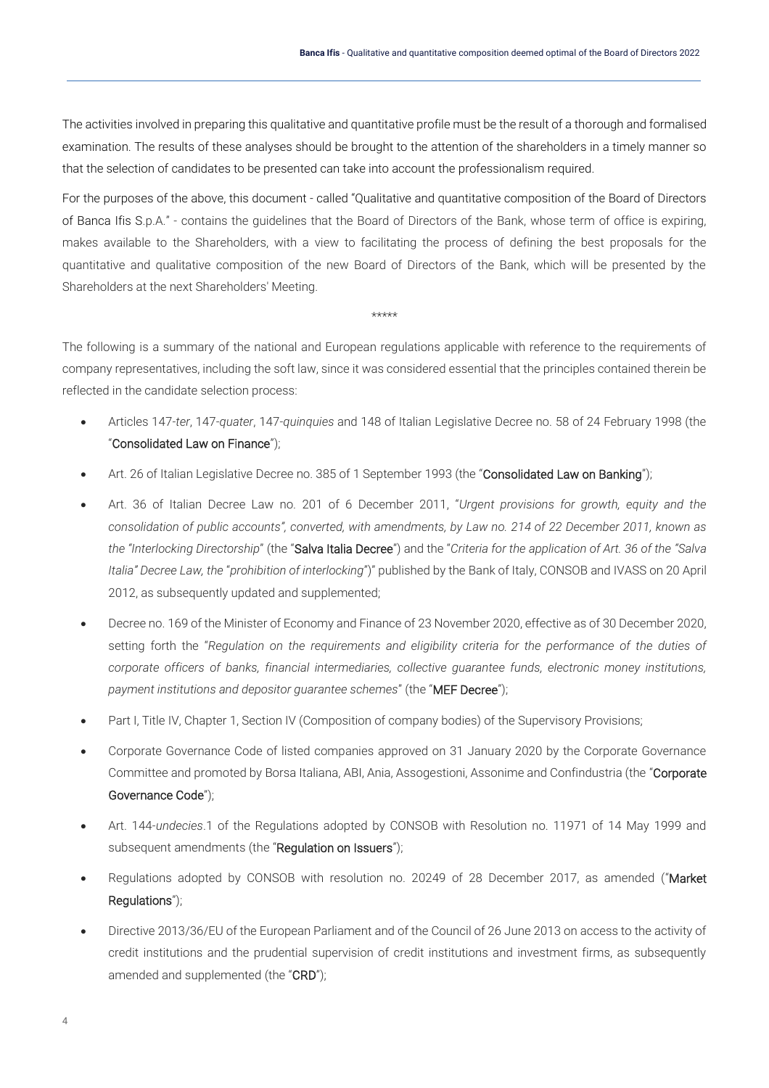The activities involved in preparing this qualitative and quantitative profile must be the result of a thorough and formalised examination. The results of these analyses should be brought to the attention of the shareholders in a timely manner so that the selection of candidates to be presented can take into account the professionalism required.

For the purposes of the above, this document - called "Qualitative and quantitative composition of the Board of Directors of Banca Ifis S.p.A." - contains the guidelines that the Board of Directors of the Bank, whose term of office is expiring, makes available to the Shareholders, with a view to facilitating the process of defining the best proposals for the quantitative and qualitative composition of the new Board of Directors of the Bank, which will be presented by the Shareholders at the next Shareholders' Meeting.

\*\*\*\*\*

The following is a summary of the national and European regulations applicable with reference to the requirements of company representatives, including the soft law, since it was considered essential that the principles contained therein be reflected in the candidate selection process:

- Articles 147-*ter*, 147-*quater*, 147-*quinquies* and 148 of Italian Legislative Decree no. 58 of 24 February 1998 (the "Consolidated Law on Finance");
- Art. 26 of Italian Legislative Decree no. 385 of 1 September 1993 (the "Consolidated Law on Banking");
- Art. 36 of Italian Decree Law no. 201 of 6 December 2011, "*Urgent provisions for growth, equity and the consolidation of public accounts", converted, with amendments, by Law no. 214 of 22 December 2011, known as the "Interlocking Directorship*" (the "Salva Italia Decree") and the "*Criteria for the application of Art. 36 of the "Salva Italia" Decree Law, the* "*prohibition of interlocking*")" published by the Bank of Italy, CONSOB and IVASS on 20 April 2012, as subsequently updated and supplemented;
- Decree no. 169 of the Minister of Economy and Finance of 23 November 2020, effective as of 30 December 2020, setting forth the "*Regulation on the requirements and eligibility criteria for the performance of the duties of corporate officers of banks, financial intermediaries, collective guarantee funds, electronic money institutions, payment institutions and depositor guarantee schemes*" (the "MEF Decree");
- Part I, Title IV, Chapter 1, Section IV (Composition of company bodies) of the Supervisory Provisions;
- Corporate Governance Code of listed companies approved on 31 January 2020 by the Corporate Governance Committee and promoted by Borsa Italiana, ABI, Ania, Assogestioni, Assonime and Confindustria (the "Corporate" Governance Code");
- Art. 144-*undecies*.1 of the Regulations adopted by CONSOB with Resolution no. 11971 of 14 May 1999 and subsequent amendments (the "Regulation on Issuers");
- Regulations adopted by CONSOB with resolution no. 20249 of 28 December 2017, as amended ("Market Regulations");
- Directive 2013/36/EU of the European Parliament and of the Council of 26 June 2013 on access to the activity of credit institutions and the prudential supervision of credit institutions and investment firms, as subsequently amended and supplemented (the "CRD");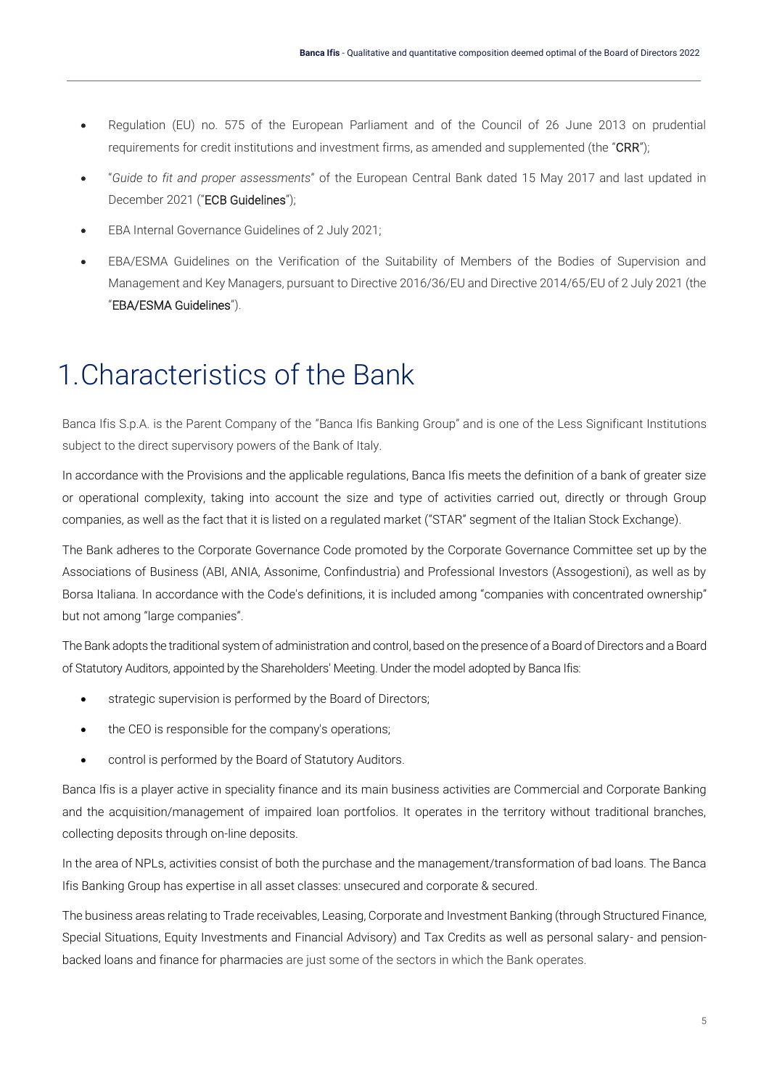- Regulation (EU) no. 575 of the European Parliament and of the Council of 26 June 2013 on prudential requirements for credit institutions and investment firms, as amended and supplemented (the "CRR");
- "*Guide to fit and proper assessments*" of the European Central Bank dated 15 May 2017 and last updated in December 2021 ("ECB Guidelines");
- EBA Internal Governance Guidelines of 2 July 2021;
- EBA/ESMA Guidelines on the Verification of the Suitability of Members of the Bodies of Supervision and Management and Key Managers, pursuant to Directive 2016/36/EU and Directive 2014/65/EU of 2 July 2021 (the "EBA/ESMA Guidelines").

# <span id="page-5-0"></span>1.Characteristics of the Bank

Banca Ifis S.p.A. is the Parent Company of the "Banca Ifis Banking Group" and is one of the Less Significant Institutions subject to the direct supervisory powers of the Bank of Italy.

In accordance with the Provisions and the applicable regulations, Banca Ifis meets the definition of a bank of greater size or operational complexity, taking into account the size and type of activities carried out, directly or through Group companies, as well as the fact that it is listed on a regulated market ("STAR" segment of the Italian Stock Exchange).

The Bank adheres to the Corporate Governance Code promoted by the Corporate Governance Committee set up by the Associations of Business (ABI, ANIA, Assonime, Confindustria) and Professional Investors (Assogestioni), as well as by Borsa Italiana. In accordance with the Code's definitions, it is included among "companies with concentrated ownership" but not among "large companies".

The Bank adopts the traditional system of administration and control, based on the presence of a Board of Directors and a Board of Statutory Auditors, appointed by the Shareholders' Meeting. Under the model adopted by Banca Ifis:

- strategic supervision is performed by the Board of Directors;
- the CEO is responsible for the company's operations;
- control is performed by the Board of Statutory Auditors.

Banca Ifis is a player active in speciality finance and its main business activities are Commercial and Corporate Banking and the acquisition/management of impaired loan portfolios. It operates in the territory without traditional branches, collecting deposits through on-line deposits.

In the area of NPLs, activities consist of both the purchase and the management/transformation of bad loans. The Banca Ifis Banking Group has expertise in all asset classes: unsecured and corporate & secured.

The business areas relating to Trade receivables, Leasing, Corporate and Investment Banking (through Structured Finance, Special Situations, Equity Investments and Financial Advisory) and Tax Credits as well as personal salary- and pensionbacked loans and finance for pharmacies are just some of the sectors in which the Bank operates.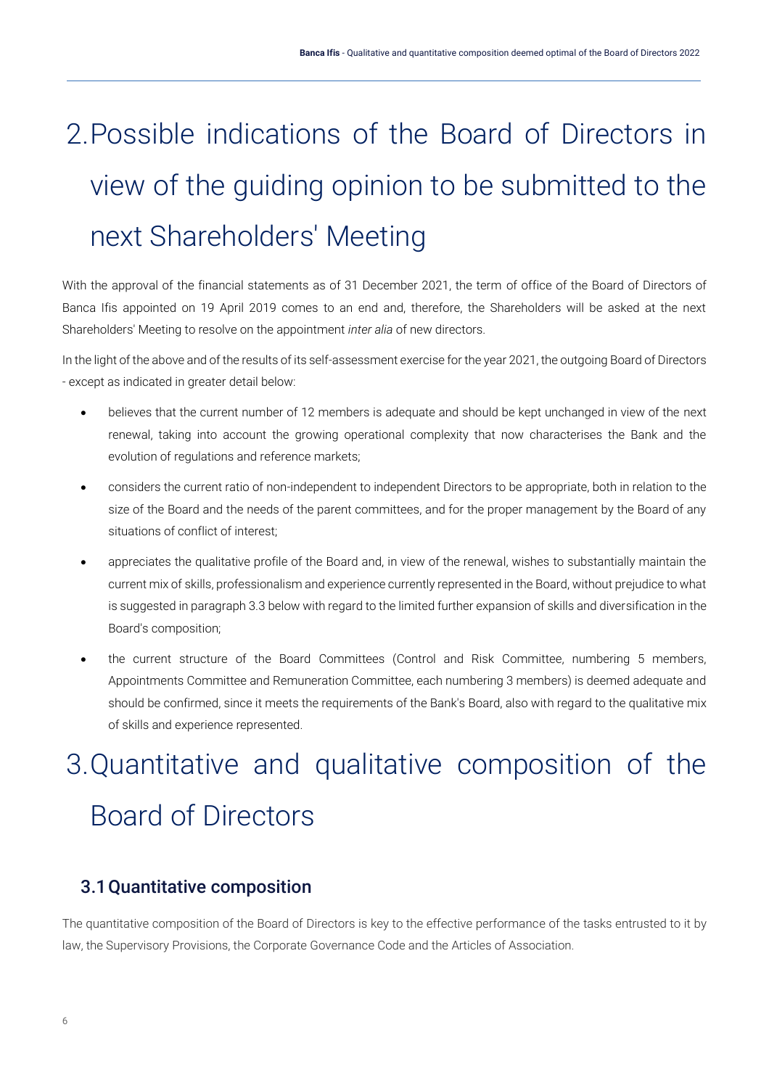# <span id="page-6-0"></span>2.Possible indications of the Board of Directors in view of the guiding opinion to be submitted to the next Shareholders' Meeting

With the approval of the financial statements as of 31 December 2021, the term of office of the Board of Directors of Banca Ifis appointed on 19 April 2019 comes to an end and, therefore, the Shareholders will be asked at the next Shareholders' Meeting to resolve on the appointment *inter alia* of new directors.

In the light of the above and of the results of its self-assessment exercise for the year 2021, the outgoing Board of Directors - except as indicated in greater detail below:

- believes that the current number of 12 members is adequate and should be kept unchanged in view of the next renewal, taking into account the growing operational complexity that now characterises the Bank and the evolution of regulations and reference markets;
- considers the current ratio of non-independent to independent Directors to be appropriate, both in relation to the size of the Board and the needs of the parent committees, and for the proper management by the Board of any situations of conflict of interest;
- appreciates the qualitative profile of the Board and, in view of the renewal, wishes to substantially maintain the current mix of skills, professionalism and experience currently represented in the Board, without prejudice to what is suggested in paragraph 3.3 below with regard to the limited further expansion of skills and diversification in the Board's composition;
- the current structure of the Board Committees (Control and Risk Committee, numbering 5 members, Appointments Committee and Remuneration Committee, each numbering 3 members) is deemed adequate and should be confirmed, since it meets the requirements of the Bank's Board, also with regard to the qualitative mix of skills and experience represented.

# <span id="page-6-1"></span>3.Quantitative and qualitative composition of the Board of Directors

## <span id="page-6-2"></span>3.1Quantitative composition

The quantitative composition of the Board of Directors is key to the effective performance of the tasks entrusted to it by law, the Supervisory Provisions, the Corporate Governance Code and the Articles of Association.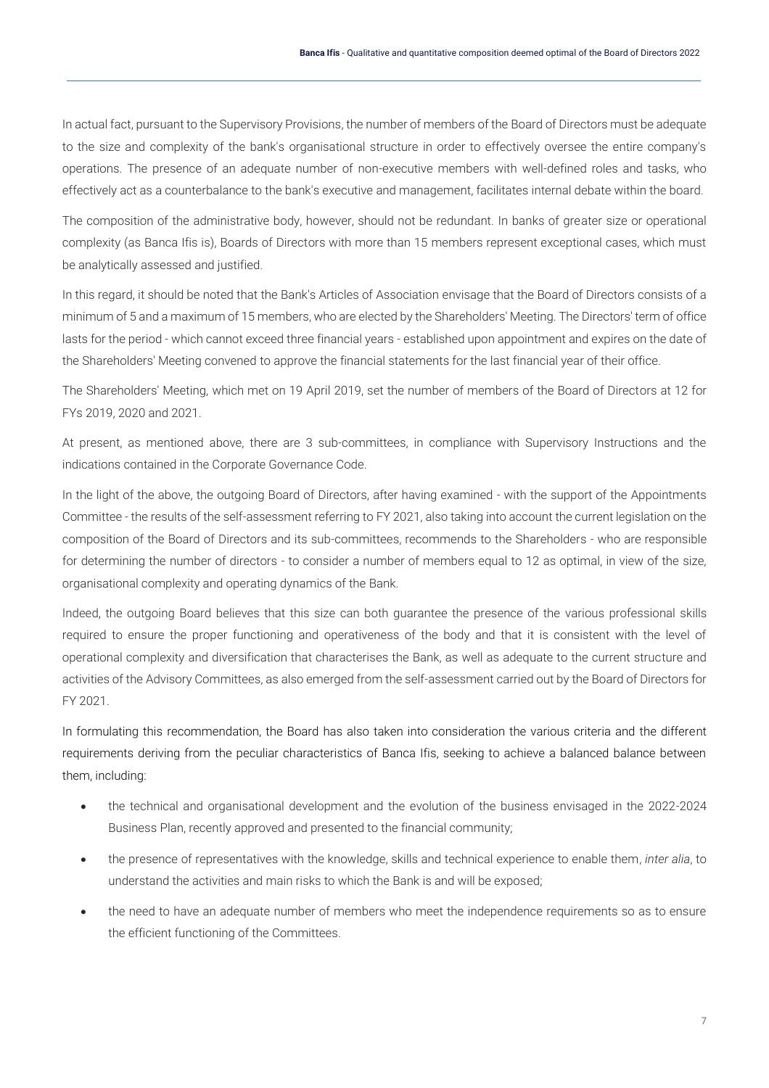In actual fact, pursuant to the Supervisory Provisions, the number of members of the Board of Directors must be adequate to the size and complexity of the bank's organisational structure in order to effectively oversee the entire company's operations. The presence of an adequate number of non-executive members with well-defined roles and tasks, who effectively act as a counterbalance to the bank's executive and management, facilitates internal debate within the board.

The composition of the administrative body, however, should not be redundant. In banks of greater size or operational complexity (as Banca Ifis is), Boards of Directors with more than 15 members represent exceptional cases, which must be analytically assessed and justified.

In this regard, it should be noted that the Bank's Articles of Association envisage that the Board of Directors consists of a minimum of 5 and a maximum of 15 members, who are elected by the Shareholders' Meeting. The Directors' term of office lasts for the period - which cannot exceed three financial years - established upon appointment and expires on the date of the Shareholders' Meeting convened to approve the financial statements for the last financial year of their office.

The Shareholders' Meeting, which met on 19 April 2019, set the number of members of the Board of Directors at 12 for FYs 2019, 2020 and 2021.

At present, as mentioned above, there are 3 sub-committees, in compliance with Supervisory Instructions and the indications contained in the Corporate Governance Code.

In the light of the above, the outgoing Board of Directors, after having examined - with the support of the Appointments Committee - the results of the self-assessment referring to FY 2021, also taking into account the current legislation on the composition of the Board of Directors and its sub-committees, recommends to the Shareholders - who are responsible for determining the number of directors - to consider a number of members equal to 12 as optimal, in view of the size, organisational complexity and operating dynamics of the Bank.

Indeed, the outgoing Board believes that this size can both guarantee the presence of the various professional skills required to ensure the proper functioning and operativeness of the body and that it is consistent with the level of operational complexity and diversification that characterises the Bank, as well as adequate to the current structure and activities of the Advisory Committees, as also emerged from the self-assessment carried out by the Board of Directors for FY 2021.

In formulating this recommendation, the Board has also taken into consideration the various criteria and the different requirements deriving from the peculiar characteristics of Banca Ifis, seeking to achieve a balanced balance between them, including:

- the technical and organisational development and the evolution of the business envisaged in the 2022-2024 Business Plan, recently approved and presented to the financial community;
- the presence of representatives with the knowledge, skills and technical experience to enable them, *inter alia*, to understand the activities and main risks to which the Bank is and will be exposed;
- the need to have an adequate number of members who meet the independence requirements so as to ensure the efficient functioning of the Committees.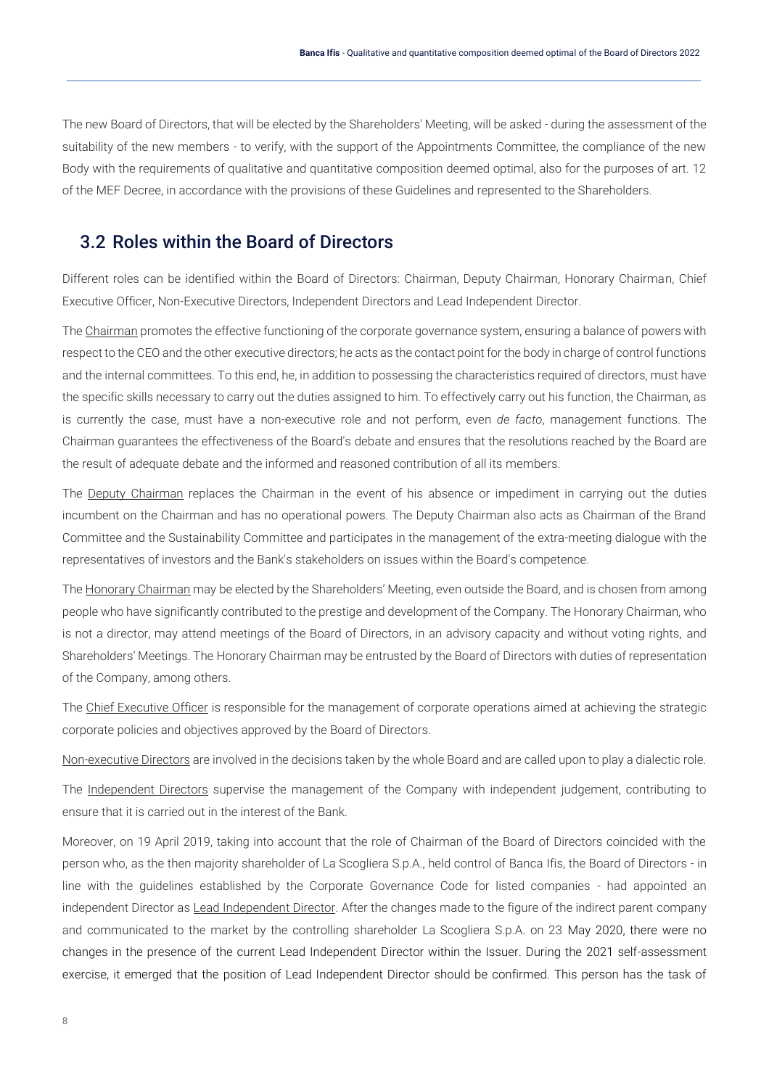The new Board of Directors, that will be elected by the Shareholders' Meeting, will be asked - during the assessment of the suitability of the new members - to verify, with the support of the Appointments Committee, the compliance of the new Body with the requirements of qualitative and quantitative composition deemed optimal, also for the purposes of art. 12 of the MEF Decree, in accordance with the provisions of these Guidelines and represented to the Shareholders.

#### <span id="page-8-0"></span>3.2 Roles within the Board of Directors

Different roles can be identified within the Board of Directors: Chairman, Deputy Chairman, Honorary Chairman, Chief Executive Officer, Non-Executive Directors, Independent Directors and Lead Independent Director.

The Chairman promotes the effective functioning of the corporate governance system, ensuring a balance of powers with respect to the CEO and the other executive directors; he acts as the contact point for the body in charge of control functions and the internal committees. To this end, he, in addition to possessing the characteristics required of directors, must have the specific skills necessary to carry out the duties assigned to him. To effectively carry out his function, the Chairman, as is currently the case, must have a non-executive role and not perform, even *de facto*, management functions. The Chairman guarantees the effectiveness of the Board's debate and ensures that the resolutions reached by the Board are the result of adequate debate and the informed and reasoned contribution of all its members.

The Deputy Chairman replaces the Chairman in the event of his absence or impediment in carrying out the duties incumbent on the Chairman and has no operational powers. The Deputy Chairman also acts as Chairman of the Brand Committee and the Sustainability Committee and participates in the management of the extra-meeting dialogue with the representatives of investors and the Bank's stakeholders on issues within the Board's competence.

The Honorary Chairman may be elected by the Shareholders' Meeting, even outside the Board, and is chosen from among people who have significantly contributed to the prestige and development of the Company. The Honorary Chairman, who is not a director, may attend meetings of the Board of Directors, in an advisory capacity and without voting rights, and Shareholders' Meetings. The Honorary Chairman may be entrusted by the Board of Directors with duties of representation of the Company, among others.

The Chief Executive Officer is responsible for the management of corporate operations aimed at achieving the strategic corporate policies and objectives approved by the Board of Directors.

Non-executive Directors are involved in the decisions taken by the whole Board and are called upon to play a dialectic role.

The Independent Directors supervise the management of the Company with independent judgement, contributing to ensure that it is carried out in the interest of the Bank.

Moreover, on 19 April 2019, taking into account that the role of Chairman of the Board of Directors coincided with the person who, as the then majority shareholder of La Scogliera S.p.A., held control of Banca Ifis, the Board of Directors - in line with the guidelines established by the Corporate Governance Code for listed companies - had appointed an independent Director as Lead Independent Director. After the changes made to the figure of the indirect parent company and communicated to the market by the controlling shareholder La Scogliera S.p.A. on 23 May 2020, there were no changes in the presence of the current Lead Independent Director within the Issuer. During the 2021 self-assessment exercise, it emerged that the position of Lead Independent Director should be confirmed. This person has the task of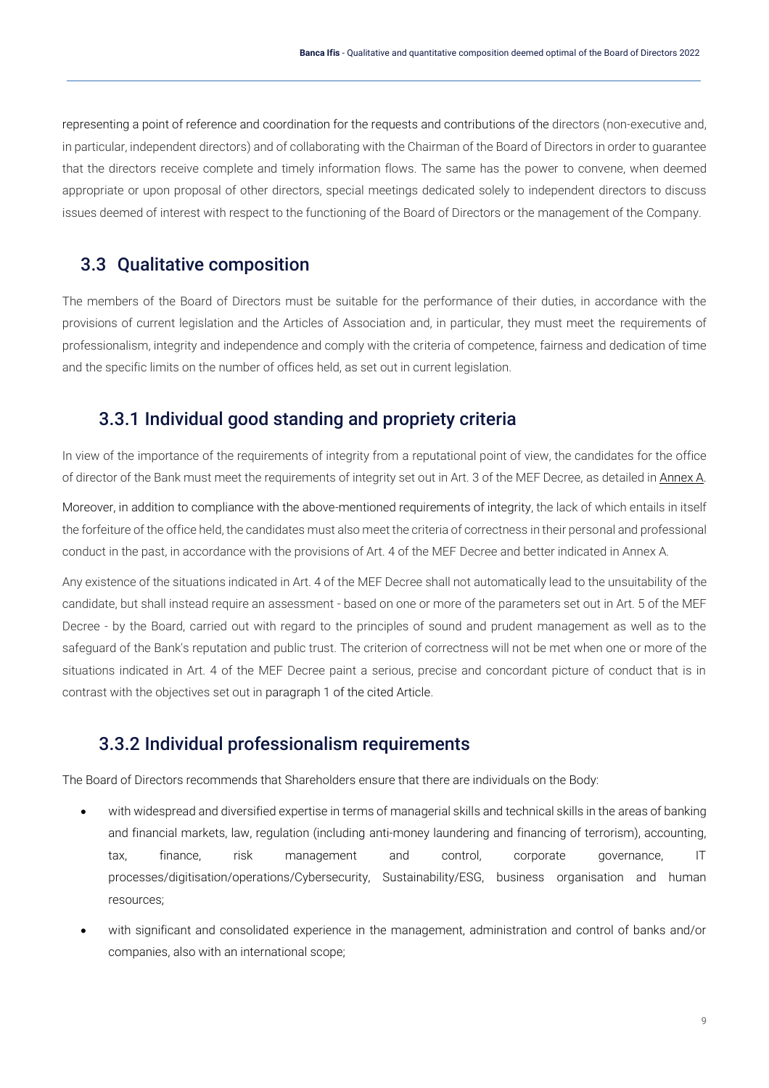representing a point of reference and coordination for the requests and contributions of the directors (non-executive and, in particular, independent directors) and of collaborating with the Chairman of the Board of Directors in order to guarantee that the directors receive complete and timely information flows. The same has the power to convene, when deemed appropriate or upon proposal of other directors, special meetings dedicated solely to independent directors to discuss issues deemed of interest with respect to the functioning of the Board of Directors or the management of the Company.

### <span id="page-9-0"></span>3.3 Qualitative composition

The members of the Board of Directors must be suitable for the performance of their duties, in accordance with the provisions of current legislation and the Articles of Association and, in particular, they must meet the requirements of professionalism, integrity and independence and comply with the criteria of competence, fairness and dedication of time and the specific limits on the number of offices held, as set out in current legislation.

#### <span id="page-9-1"></span>3.3.1 Individual good standing and propriety criteria

In view of the importance of the requirements of integrity from a reputational point of view, the candidates for the office of director of the Bank must meet the requirements of integrity set out in Art. 3 of the MEF Decree, as detailed in Annex A.

Moreover, in addition to compliance with the above-mentioned requirements of integrity, the lack of which entails in itself the forfeiture of the office held, the candidates must also meet the criteria of correctness in their personal and professional conduct in the past, in accordance with the provisions of Art. 4 of the MEF Decree and better indicated in Annex A.

Any existence of the situations indicated in Art. 4 of the MEF Decree shall not automatically lead to the unsuitability of the candidate, but shall instead require an assessment - based on one or more of the parameters set out in Art. 5 of the MEF Decree - by the Board, carried out with regard to the principles of sound and prudent management as well as to the safeguard of the Bank's reputation and public trust. The criterion of correctness will not be met when one or more of the situations indicated in Art. 4 of the MEF Decree paint a serious, precise and concordant picture of conduct that is in contrast with the objectives set out in paragraph 1 of the cited Article.

#### <span id="page-9-2"></span>3.3.2 Individual professionalism requirements

The Board of Directors recommends that Shareholders ensure that there are individuals on the Body:

- with widespread and diversified expertise in terms of managerial skills and technical skills in the areas of banking and financial markets, law, regulation (including anti-money laundering and financing of terrorism), accounting, tax, finance, risk management and control, corporate governance, IT processes/digitisation/operations/Cybersecurity, Sustainability/ESG, business organisation and human resources;
- with significant and consolidated experience in the management, administration and control of banks and/or companies, also with an international scope;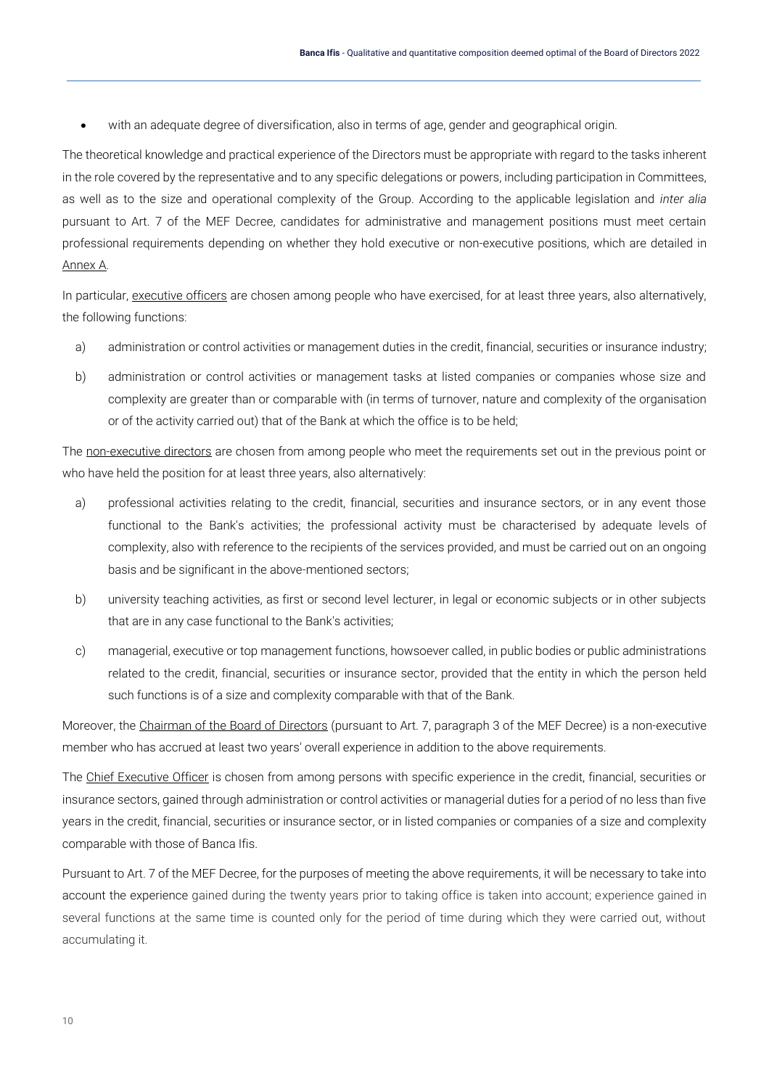with an adequate degree of diversification, also in terms of age, gender and geographical origin.

The theoretical knowledge and practical experience of the Directors must be appropriate with regard to the tasks inherent in the role covered by the representative and to any specific delegations or powers, including participation in Committees, as well as to the size and operational complexity of the Group. According to the applicable legislation and *inter alia* pursuant to Art. 7 of the MEF Decree, candidates for administrative and management positions must meet certain professional requirements depending on whether they hold executive or non-executive positions, which are detailed in Annex A.

In particular, executive officers are chosen among people who have exercised, for at least three years, also alternatively, the following functions:

- a) administration or control activities or management duties in the credit, financial, securities or insurance industry;
- b) administration or control activities or management tasks at listed companies or companies whose size and complexity are greater than or comparable with (in terms of turnover, nature and complexity of the organisation or of the activity carried out) that of the Bank at which the office is to be held;

The non-executive directors are chosen from among people who meet the requirements set out in the previous point or who have held the position for at least three years, also alternatively:

- a) professional activities relating to the credit, financial, securities and insurance sectors, or in any event those functional to the Bank's activities; the professional activity must be characterised by adequate levels of complexity, also with reference to the recipients of the services provided, and must be carried out on an ongoing basis and be significant in the above-mentioned sectors;
- b) university teaching activities, as first or second level lecturer, in legal or economic subjects or in other subjects that are in any case functional to the Bank's activities;
- c) managerial, executive or top management functions, howsoever called, in public bodies or public administrations related to the credit, financial, securities or insurance sector, provided that the entity in which the person held such functions is of a size and complexity comparable with that of the Bank.

Moreover, the Chairman of the Board of Directors (pursuant to Art. 7, paragraph 3 of the MEF Decree) is a non-executive member who has accrued at least two years' overall experience in addition to the above requirements.

The Chief Executive Officer is chosen from among persons with specific experience in the credit, financial, securities or insurance sectors, gained through administration or control activities or managerial duties for a period of no less than five years in the credit, financial, securities or insurance sector, or in listed companies or companies of a size and complexity comparable with those of Banca Ifis.

Pursuant to Art. 7 of the MEF Decree, for the purposes of meeting the above requirements, it will be necessary to take into account the experience gained during the twenty years prior to taking office is taken into account; experience gained in several functions at the same time is counted only for the period of time during which they were carried out, without accumulating it.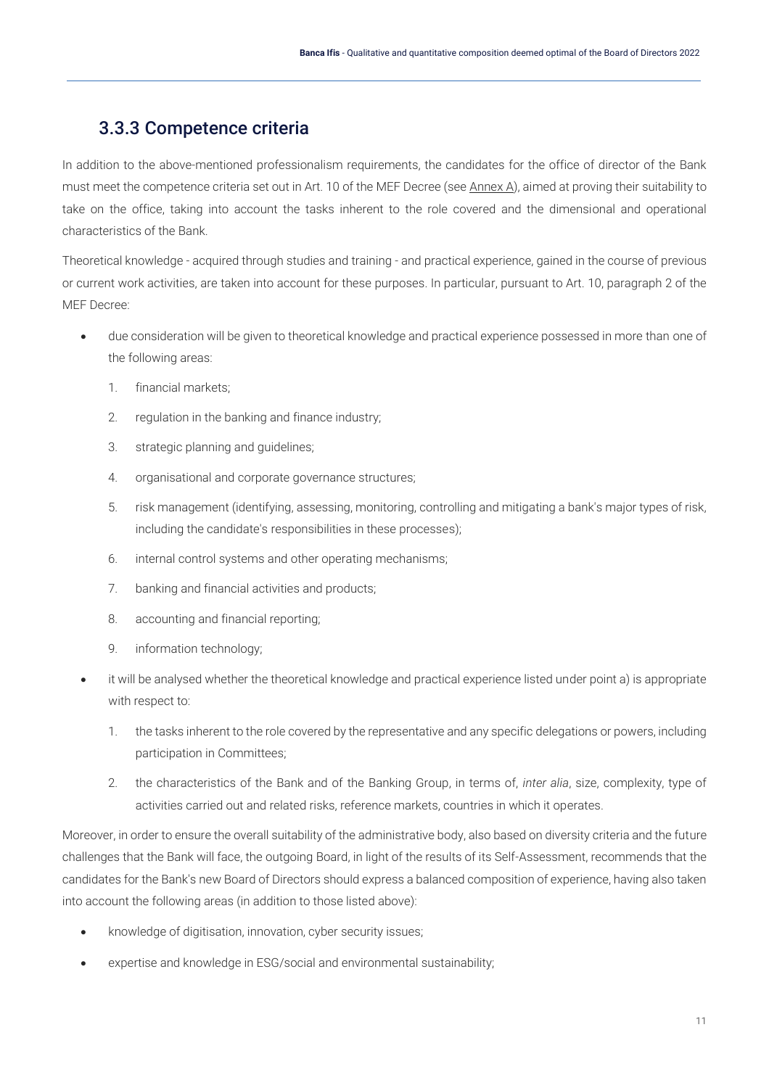## 3.3.3 Competence criteria

<span id="page-11-0"></span>In addition to the above-mentioned professionalism requirements, the candidates for the office of director of the Bank must meet the competence criteria set out in Art. 10 of the MEF Decree (see Annex A), aimed at proving their suitability to take on the office, taking into account the tasks inherent to the role covered and the dimensional and operational characteristics of the Bank.

Theoretical knowledge - acquired through studies and training - and practical experience, gained in the course of previous or current work activities, are taken into account for these purposes. In particular, pursuant to Art. 10, paragraph 2 of the MEF Decree:

- due consideration will be given to theoretical knowledge and practical experience possessed in more than one of the following areas:
	- 1. financial markets;
	- 2. regulation in the banking and finance industry;
	- 3. strategic planning and guidelines;
	- 4. organisational and corporate governance structures;
	- 5. risk management (identifying, assessing, monitoring, controlling and mitigating a bank's major types of risk, including the candidate's responsibilities in these processes);
	- 6. internal control systems and other operating mechanisms;
	- 7. banking and financial activities and products;
	- 8. accounting and financial reporting;
	- 9. information technology;
- it will be analysed whether the theoretical knowledge and practical experience listed under point a) is appropriate with respect to:
	- 1. the tasks inherent to the role covered by the representative and any specific delegations or powers, including participation in Committees;
	- 2. the characteristics of the Bank and of the Banking Group, in terms of, *inter alia*, size, complexity, type of activities carried out and related risks, reference markets, countries in which it operates.

Moreover, in order to ensure the overall suitability of the administrative body, also based on diversity criteria and the future challenges that the Bank will face, the outgoing Board, in light of the results of its Self-Assessment, recommends that the candidates for the Bank's new Board of Directors should express a balanced composition of experience, having also taken into account the following areas (in addition to those listed above):

- knowledge of digitisation, innovation, cyber security issues;
- expertise and knowledge in ESG/social and environmental sustainability;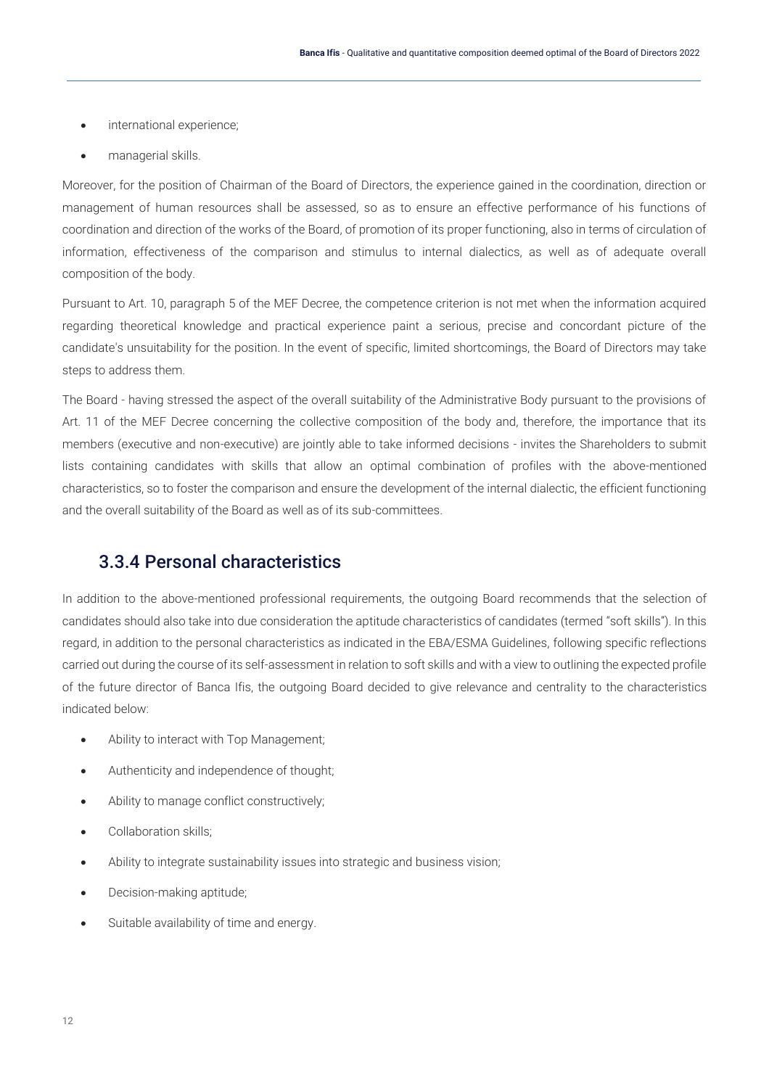- international experience;
- managerial skills.

Moreover, for the position of Chairman of the Board of Directors, the experience gained in the coordination, direction or management of human resources shall be assessed, so as to ensure an effective performance of his functions of coordination and direction of the works of the Board, of promotion of its proper functioning, also in terms of circulation of information, effectiveness of the comparison and stimulus to internal dialectics, as well as of adequate overall composition of the body.

Pursuant to Art. 10, paragraph 5 of the MEF Decree, the competence criterion is not met when the information acquired regarding theoretical knowledge and practical experience paint a serious, precise and concordant picture of the candidate's unsuitability for the position. In the event of specific, limited shortcomings, the Board of Directors may take steps to address them.

The Board - having stressed the aspect of the overall suitability of the Administrative Body pursuant to the provisions of Art. 11 of the MEF Decree concerning the collective composition of the body and, therefore, the importance that its members (executive and non-executive) are jointly able to take informed decisions - invites the Shareholders to submit lists containing candidates with skills that allow an optimal combination of profiles with the above-mentioned characteristics, so to foster the comparison and ensure the development of the internal dialectic, the efficient functioning and the overall suitability of the Board as well as of its sub-committees.

### <span id="page-12-0"></span>3.3.4 Personal characteristics

In addition to the above-mentioned professional requirements, the outgoing Board recommends that the selection of candidates should also take into due consideration the aptitude characteristics of candidates (termed "soft skills"). In this regard, in addition to the personal characteristics as indicated in the EBA/ESMA Guidelines, following specific reflections carried out during the course of its self-assessment in relation to soft skills and with a view to outlining the expected profile of the future director of Banca Ifis, the outgoing Board decided to give relevance and centrality to the characteristics indicated below:

- Ability to interact with Top Management;
- Authenticity and independence of thought;
- Ability to manage conflict constructively;
- Collaboration skills;
- Ability to integrate sustainability issues into strategic and business vision;
- Decision-making aptitude;
- Suitable availability of time and energy.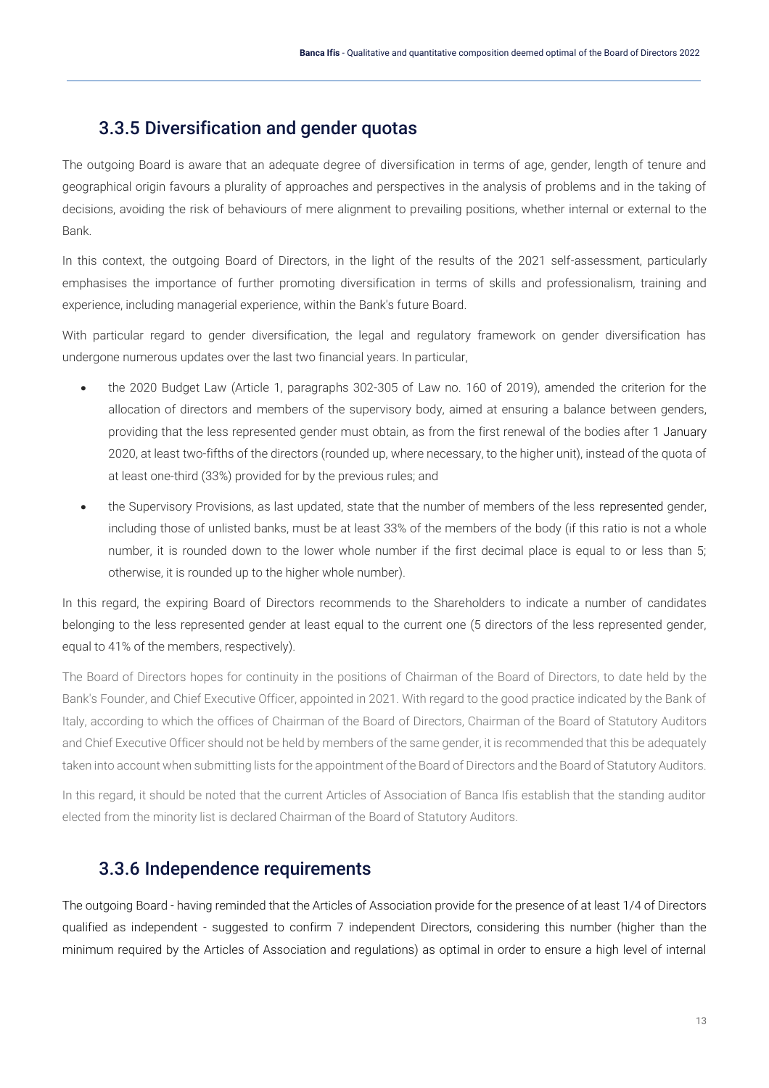## <span id="page-13-0"></span>3.3.5 Diversification and gender quotas

The outgoing Board is aware that an adequate degree of diversification in terms of age, gender, length of tenure and geographical origin favours a plurality of approaches and perspectives in the analysis of problems and in the taking of decisions, avoiding the risk of behaviours of mere alignment to prevailing positions, whether internal or external to the Bank.

In this context, the outgoing Board of Directors, in the light of the results of the 2021 self-assessment, particularly emphasises the importance of further promoting diversification in terms of skills and professionalism, training and experience, including managerial experience, within the Bank's future Board.

With particular regard to gender diversification, the legal and regulatory framework on gender diversification has undergone numerous updates over the last two financial years. In particular,

- the 2020 Budget Law (Article 1, paragraphs 302-305 of Law no. 160 of 2019), amended the criterion for the allocation of directors and members of the supervisory body, aimed at ensuring a balance between genders, providing that the less represented gender must obtain, as from the first renewal of the bodies after 1 January 2020, at least two-fifths of the directors (rounded up, where necessary, to the higher unit), instead of the quota of at least one-third (33%) provided for by the previous rules; and
- the Supervisory Provisions, as last updated, state that the number of members of the less represented gender, including those of unlisted banks, must be at least 33% of the members of the body (if this ratio is not a whole number, it is rounded down to the lower whole number if the first decimal place is equal to or less than 5; otherwise, it is rounded up to the higher whole number).

In this regard, the expiring Board of Directors recommends to the Shareholders to indicate a number of candidates belonging to the less represented gender at least equal to the current one (5 directors of the less represented gender, equal to 41% of the members, respectively).

The Board of Directors hopes for continuity in the positions of Chairman of the Board of Directors, to date held by the Bank's Founder, and Chief Executive Officer, appointed in 2021. With regard to the good practice indicated by the Bank of Italy, according to which the offices of Chairman of the Board of Directors, Chairman of the Board of Statutory Auditors and Chief Executive Officer should not be held by members of the same gender, it is recommended that this be adequately taken into account when submitting lists for the appointment of the Board of Directors and the Board of Statutory Auditors.

In this regard, it should be noted that the current Articles of Association of Banca Ifis establish that the standing auditor elected from the minority list is declared Chairman of the Board of Statutory Auditors.

#### <span id="page-13-1"></span>3.3.6 Independence requirements

The outgoing Board - having reminded that the Articles of Association provide for the presence of at least 1/4 of Directors qualified as independent - suggested to confirm 7 independent Directors, considering this number (higher than the minimum required by the Articles of Association and regulations) as optimal in order to ensure a high level of internal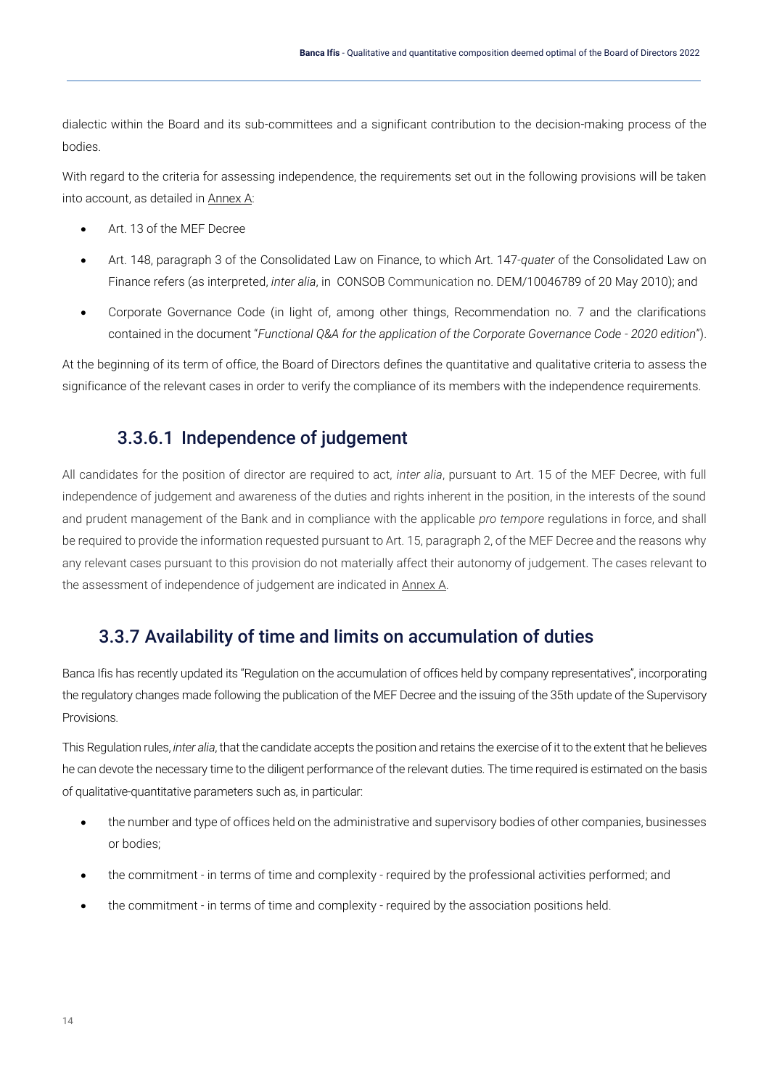dialectic within the Board and its sub-committees and a significant contribution to the decision-making process of the bodies.

With regard to the criteria for assessing independence, the requirements set out in the following provisions will be taken into account, as detailed in Annex A:

- Art. 13 of the MEF Decree
- Art. 148, paragraph 3 of the Consolidated Law on Finance, to which Art. 147-*quater* of the Consolidated Law on Finance refers (as interpreted, *inter alia*, in CONSOB Communication no. DEM/10046789 of 20 May 2010); and
- Corporate Governance Code (in light of, among other things, Recommendation no. 7 and the clarifications contained in the document "*Functional Q&A for the application of the Corporate Governance Code - 2020 edition*").

<span id="page-14-0"></span>At the beginning of its term of office, the Board of Directors defines the quantitative and qualitative criteria to assess the significance of the relevant cases in order to verify the compliance of its members with the independence requirements.

### 3.3.6.1 Independence of judgement

All candidates for the position of director are required to act, *inter alia*, pursuant to Art. 15 of the MEF Decree, with full independence of judgement and awareness of the duties and rights inherent in the position, in the interests of the sound and prudent management of the Bank and in compliance with the applicable *pro tempore* regulations in force, and shall be required to provide the information requested pursuant to Art. 15, paragraph 2, of the MEF Decree and the reasons why any relevant cases pursuant to this provision do not materially affect their autonomy of judgement. The cases relevant to the assessment of independence of judgement are indicated in Annex A.

#### <span id="page-14-1"></span>3.3.7 Availability of time and limits on accumulation of duties

Banca Ifis has recently updated its "Regulation on the accumulation of offices held by company representatives", incorporating the regulatory changes made following the publication of the MEF Decree and the issuing of the 35th update of the Supervisory Provisions.

This Regulation rules, *inter alia*, that the candidate accepts the position and retains the exercise of it to the extent that he believes he can devote the necessary time to the diligent performance of the relevant duties. The time required is estimated on the basis of qualitative-quantitative parameters such as, in particular:

- the number and type of offices held on the administrative and supervisory bodies of other companies, businesses or bodies;
- the commitment in terms of time and complexity required by the professional activities performed; and
- the commitment in terms of time and complexity required by the association positions held.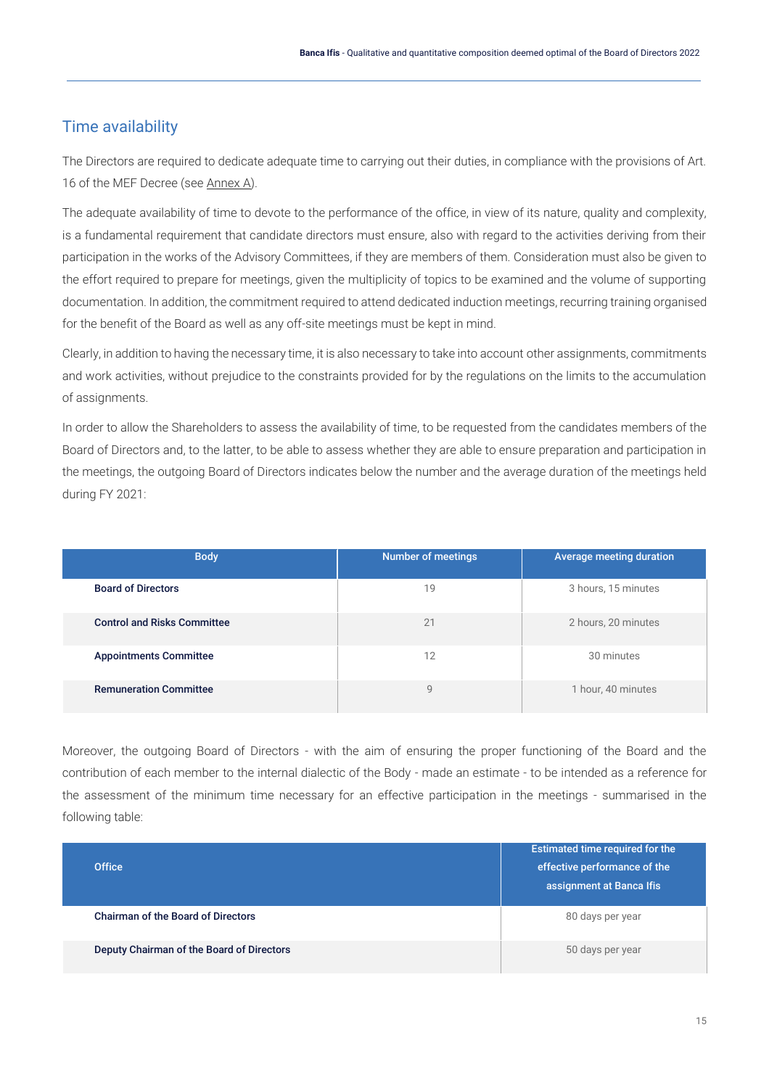## <span id="page-15-0"></span>Time availability

The Directors are required to dedicate adequate time to carrying out their duties, in compliance with the provisions of Art. 16 of the MEF Decree (see Annex A).

The adequate availability of time to devote to the performance of the office, in view of its nature, quality and complexity, is a fundamental requirement that candidate directors must ensure, also with regard to the activities deriving from their participation in the works of the Advisory Committees, if they are members of them. Consideration must also be given to the effort required to prepare for meetings, given the multiplicity of topics to be examined and the volume of supporting documentation. In addition, the commitment required to attend dedicated induction meetings, recurring training organised for the benefit of the Board as well as any off-site meetings must be kept in mind.

Clearly, in addition to having the necessary time, it is also necessary to take into account other assignments, commitments and work activities, without prejudice to the constraints provided for by the regulations on the limits to the accumulation of assignments.

In order to allow the Shareholders to assess the availability of time, to be requested from the candidates members of the Board of Directors and, to the latter, to be able to assess whether they are able to ensure preparation and participation in the meetings, the outgoing Board of Directors indicates below the number and the average duration of the meetings held during FY 2021:

| <b>Body</b>                        | <b>Number of meetings</b> | Average meeting duration |
|------------------------------------|---------------------------|--------------------------|
| <b>Board of Directors</b>          | 19                        | 3 hours, 15 minutes      |
| <b>Control and Risks Committee</b> | 21                        | 2 hours, 20 minutes      |
| <b>Appointments Committee</b>      | 12                        | 30 minutes               |
| <b>Remuneration Committee</b>      | 9                         | 1 hour, 40 minutes       |

Moreover, the outgoing Board of Directors - with the aim of ensuring the proper functioning of the Board and the contribution of each member to the internal dialectic of the Body - made an estimate - to be intended as a reference for the assessment of the minimum time necessary for an effective participation in the meetings - summarised in the following table:

| <b>Office</b>                             | Estimated time required for the<br>effective performance of the<br>assignment at Banca Ifis |
|-------------------------------------------|---------------------------------------------------------------------------------------------|
| <b>Chairman of the Board of Directors</b> | 80 days per year                                                                            |
| Deputy Chairman of the Board of Directors | 50 days per year                                                                            |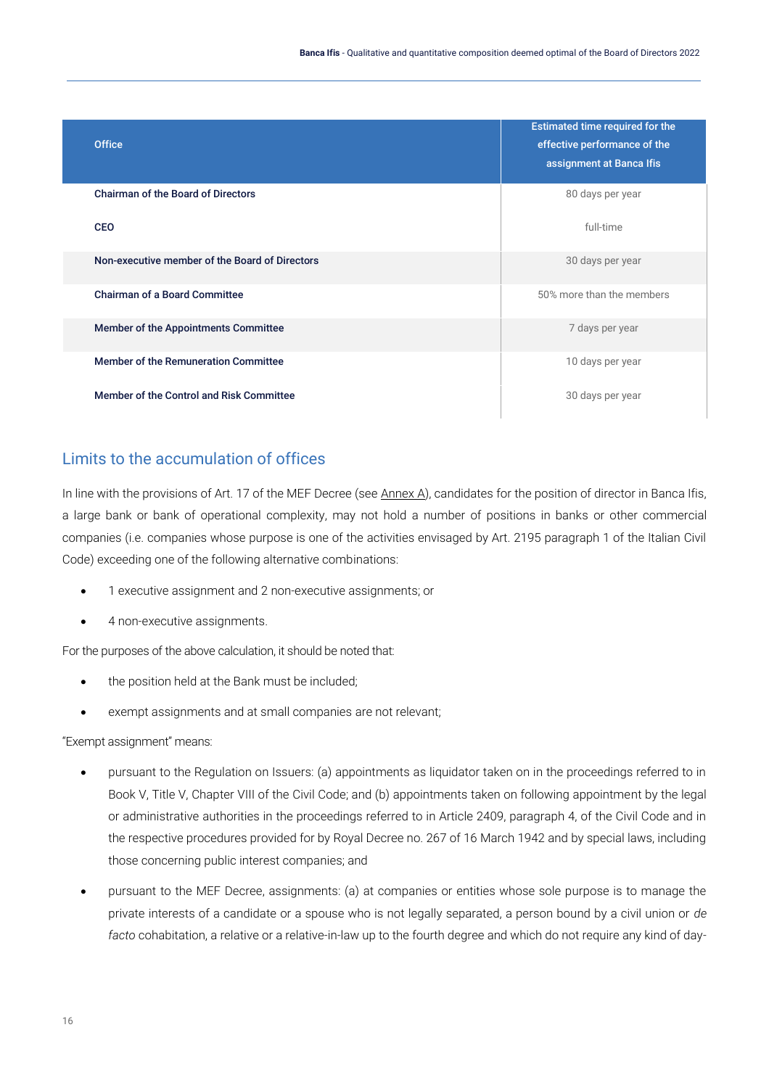| <b>Office</b>                                  | Estimated time required for the<br>effective performance of the<br>assignment at Banca Ifis |
|------------------------------------------------|---------------------------------------------------------------------------------------------|
| <b>Chairman of the Board of Directors</b>      | 80 days per year                                                                            |
| <b>CEO</b>                                     | full-time                                                                                   |
| Non-executive member of the Board of Directors | 30 days per year                                                                            |
| <b>Chairman of a Board Committee</b>           | 50% more than the members                                                                   |
| Member of the Appointments Committee           | 7 days per year                                                                             |
| Member of the Remuneration Committee           | 10 days per year                                                                            |
| Member of the Control and Risk Committee       | 30 days per year                                                                            |

#### <span id="page-16-0"></span>Limits to the accumulation of offices

In line with the provisions of Art. 17 of the MEF Decree (see Annex A), candidates for the position of director in Banca Ifis, a large bank or bank of operational complexity, may not hold a number of positions in banks or other commercial companies (i.e. companies whose purpose is one of the activities envisaged by Art. 2195 paragraph 1 of the Italian Civil Code) exceeding one of the following alternative combinations:

- 1 executive assignment and 2 non-executive assignments; or
- 4 non-executive assignments.

For the purposes of the above calculation, it should be noted that:

- the position held at the Bank must be included;
- exempt assignments and at small companies are not relevant;

"Exempt assignment" means:

- pursuant to the Regulation on Issuers: (a) appointments as liquidator taken on in the proceedings referred to in Book V, Title V, Chapter VIII of the Civil Code; and (b) appointments taken on following appointment by the legal or administrative authorities in the proceedings referred to in Article 2409, paragraph 4, of the Civil Code and in the respective procedures provided for by Royal Decree no. 267 of 16 March 1942 and by special laws, including those concerning public interest companies; and
- pursuant to the MEF Decree, assignments: (a) at companies or entities whose sole purpose is to manage the private interests of a candidate or a spouse who is not legally separated, a person bound by a civil union or *de facto* cohabitation, a relative or a relative-in-law up to the fourth degree and which do not require any kind of day-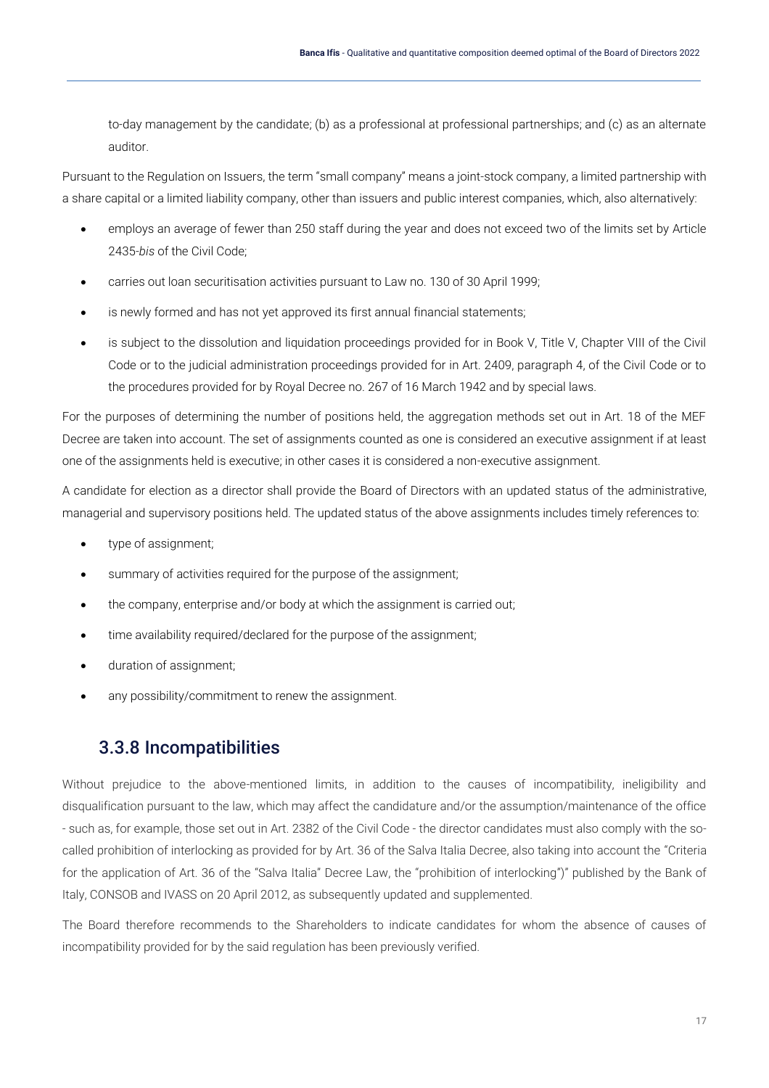to-day management by the candidate; (b) as a professional at professional partnerships; and (c) as an alternate auditor.

Pursuant to the Regulation on Issuers, the term "small company" means a joint-stock company, a limited partnership with a share capital or a limited liability company, other than issuers and public interest companies, which, also alternatively:

- employs an average of fewer than 250 staff during the year and does not exceed two of the limits set by Article 2435-*bis* of the Civil Code;
- carries out loan securitisation activities pursuant to Law no. 130 of 30 April 1999;
- is newly formed and has not yet approved its first annual financial statements;
- is subject to the dissolution and liquidation proceedings provided for in Book V, Title V, Chapter VIII of the Civil Code or to the judicial administration proceedings provided for in Art. 2409, paragraph 4, of the Civil Code or to the procedures provided for by Royal Decree no. 267 of 16 March 1942 and by special laws.

For the purposes of determining the number of positions held, the aggregation methods set out in Art. 18 of the MEF Decree are taken into account. The set of assignments counted as one is considered an executive assignment if at least one of the assignments held is executive; in other cases it is considered a non-executive assignment.

A candidate for election as a director shall provide the Board of Directors with an updated status of the administrative, managerial and supervisory positions held. The updated status of the above assignments includes timely references to:

- type of assignment;
- summary of activities required for the purpose of the assignment;
- the company, enterprise and/or body at which the assignment is carried out;
- time availability required/declared for the purpose of the assignment;
- duration of assignment;
- <span id="page-17-0"></span>any possibility/commitment to renew the assignment.

#### 3.3.8 Incompatibilities

Without prejudice to the above-mentioned limits, in addition to the causes of incompatibility, ineligibility and disqualification pursuant to the law, which may affect the candidature and/or the assumption/maintenance of the office - such as, for example, those set out in Art. 2382 of the Civil Code - the director candidates must also comply with the socalled prohibition of interlocking as provided for by Art. 36 of the Salva Italia Decree, also taking into account the "Criteria for the application of Art. 36 of the "Salva Italia" Decree Law, the "prohibition of interlocking")" published by the Bank of Italy, CONSOB and IVASS on 20 April 2012, as subsequently updated and supplemented.

The Board therefore recommends to the Shareholders to indicate candidates for whom the absence of causes of incompatibility provided for by the said regulation has been previously verified.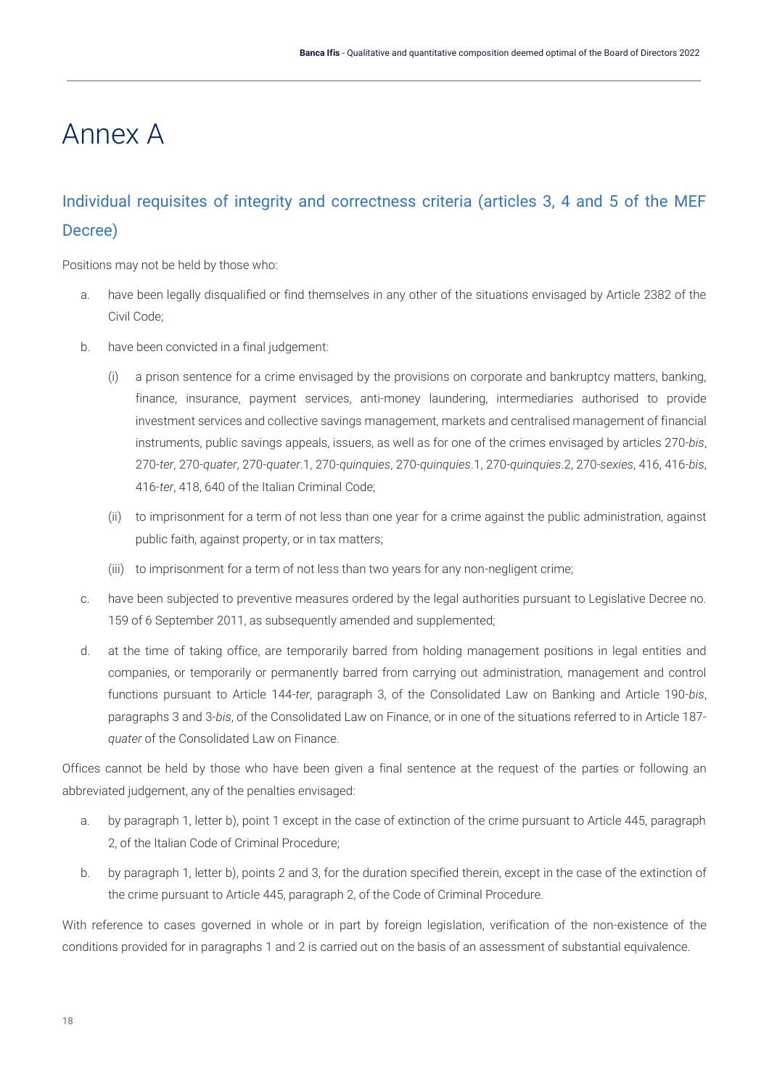# <span id="page-18-0"></span>Annex A

# <span id="page-18-1"></span>Individual requisites of integrity and correctness criteria (articles 3, 4 and 5 of the MEF Decree)

Positions may not be held by those who:

- a. have been legally disqualified or find themselves in any other of the situations envisaged by Article 2382 of the Civil Code;
- b. have been convicted in a final judgement:
	- (i) a prison sentence for a crime envisaged by the provisions on corporate and bankruptcy matters, banking, finance, insurance, payment services, anti-money laundering, intermediaries authorised to provide investment services and collective savings management, markets and centralised management of financial instruments, public savings appeals, issuers, as well as for one of the crimes envisaged by articles 270-*bis*, 270-*ter*, 270-*quater*, 270-*quater*.1, 270-*quinquies*, 270-*quinquies*.1, 270-*quinquies*.2, 270-*sexies*, 416, 416-*bis*, 416-*ter*, 418, 640 of the Italian Criminal Code;
	- (ii) to imprisonment for a term of not less than one year for a crime against the public administration, against public faith, against property, or in tax matters;
	- (iii) to imprisonment for a term of not less than two years for any non-negligent crime;
- c. have been subjected to preventive measures ordered by the legal authorities pursuant to Legislative Decree no. 159 of 6 September 2011, as subsequently amended and supplemented;
- d. at the time of taking office, are temporarily barred from holding management positions in legal entities and companies, or temporarily or permanently barred from carrying out administration, management and control functions pursuant to Article 144-*ter*, paragraph 3, of the Consolidated Law on Banking and Article 190-*bis*, paragraphs 3 and 3-*bis*, of the Consolidated Law on Finance, or in one of the situations referred to in Article 187 *quater* of the Consolidated Law on Finance.

Offices cannot be held by those who have been given a final sentence at the request of the parties or following an abbreviated judgement, any of the penalties envisaged:

- a. by paragraph 1, letter b), point 1 except in the case of extinction of the crime pursuant to Article 445, paragraph 2, of the Italian Code of Criminal Procedure;
- b. by paragraph 1, letter b), points 2 and 3, for the duration specified therein, except in the case of the extinction of the crime pursuant to Article 445, paragraph 2, of the Code of Criminal Procedure.

With reference to cases governed in whole or in part by foreign legislation, verification of the non-existence of the conditions provided for in paragraphs 1 and 2 is carried out on the basis of an assessment of substantial equivalence.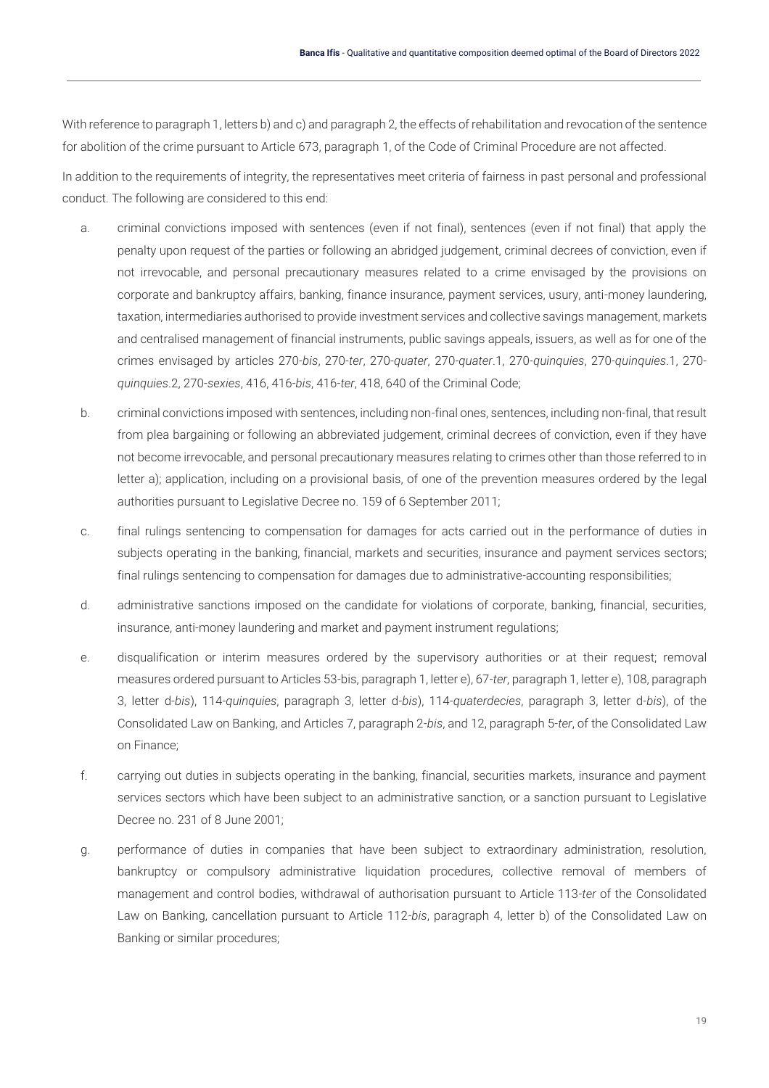With reference to paragraph 1, letters b) and c) and paragraph 2, the effects of rehabilitation and revocation of the sentence for abolition of the crime pursuant to Article 673, paragraph 1, of the Code of Criminal Procedure are not affected.

In addition to the requirements of integrity, the representatives meet criteria of fairness in past personal and professional conduct. The following are considered to this end:

- a. criminal convictions imposed with sentences (even if not final), sentences (even if not final) that apply the penalty upon request of the parties or following an abridged judgement, criminal decrees of conviction, even if not irrevocable, and personal precautionary measures related to a crime envisaged by the provisions on corporate and bankruptcy affairs, banking, finance insurance, payment services, usury, anti-money laundering, taxation, intermediaries authorised to provide investment services and collective savings management, markets and centralised management of financial instruments, public savings appeals, issuers, as well as for one of the crimes envisaged by articles 270-*bis*, 270-*ter*, 270-*quater*, 270-*quater*.1, 270-*quinquies*, 270-*quinquies*.1, 270 *quinquies*.2, 270-*sexies*, 416, 416-*bis*, 416-*ter*, 418, 640 of the Criminal Code;
- b. criminal convictions imposed with sentences, including non-final ones, sentences, including non-final, that result from plea bargaining or following an abbreviated judgement, criminal decrees of conviction, even if they have not become irrevocable, and personal precautionary measures relating to crimes other than those referred to in letter a); application, including on a provisional basis, of one of the prevention measures ordered by the legal authorities pursuant to Legislative Decree no. 159 of 6 September 2011;
- c. final rulings sentencing to compensation for damages for acts carried out in the performance of duties in subjects operating in the banking, financial, markets and securities, insurance and payment services sectors; final rulings sentencing to compensation for damages due to administrative-accounting responsibilities;
- d. administrative sanctions imposed on the candidate for violations of corporate, banking, financial, securities, insurance, anti-money laundering and market and payment instrument regulations;
- e. disqualification or interim measures ordered by the supervisory authorities or at their request; removal measures ordered pursuant to Articles 53-bis, paragraph 1, letter e), 67-*ter*, paragraph 1, letter e), 108, paragraph 3, letter d-*bis*), 114-*quinquies*, paragraph 3, letter d-*bis*), 114-*quaterdecies*, paragraph 3, letter d-*bis*), of the Consolidated Law on Banking, and Articles 7, paragraph 2-*bis*, and 12, paragraph 5-*ter*, of the Consolidated Law on Finance;
- f. carrying out duties in subjects operating in the banking, financial, securities markets, insurance and payment services sectors which have been subject to an administrative sanction, or a sanction pursuant to Legislative Decree no. 231 of 8 June 2001;
- g. performance of duties in companies that have been subject to extraordinary administration, resolution, bankruptcy or compulsory administrative liquidation procedures, collective removal of members of management and control bodies, withdrawal of authorisation pursuant to Article 113-*ter* of the Consolidated Law on Banking, cancellation pursuant to Article 112-*bis*, paragraph 4, letter b) of the Consolidated Law on Banking or similar procedures;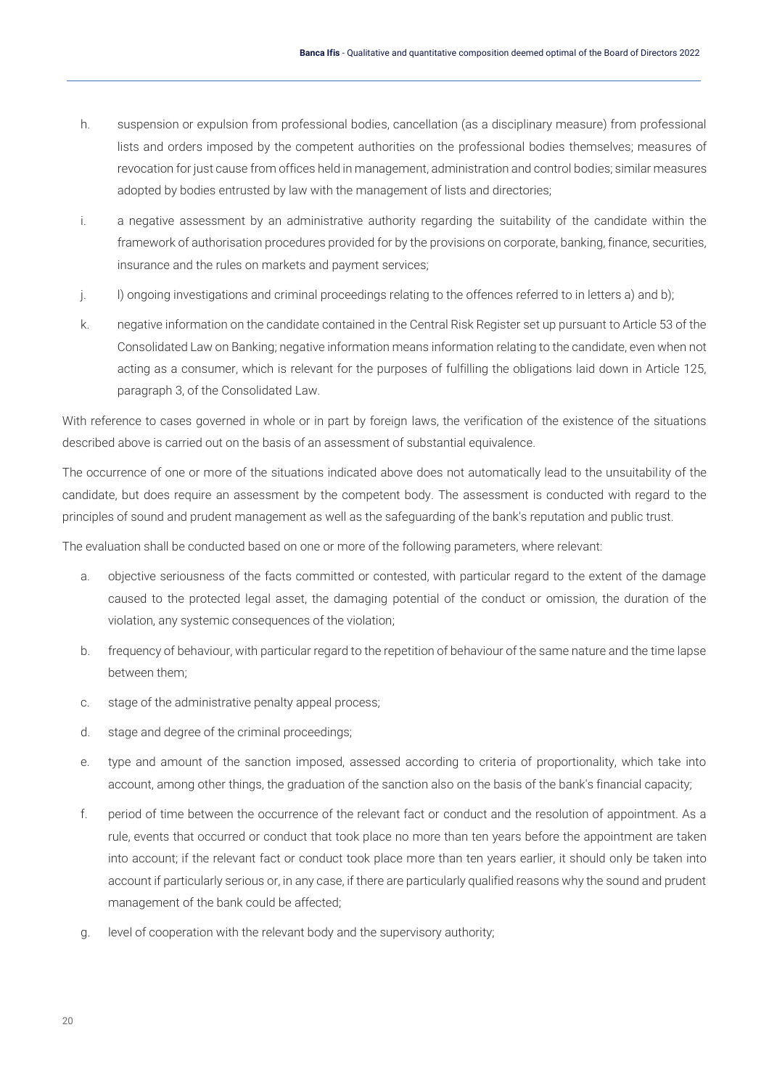- h. suspension or expulsion from professional bodies, cancellation (as a disciplinary measure) from professional lists and orders imposed by the competent authorities on the professional bodies themselves; measures of revocation for just cause from offices held in management, administration and control bodies; similar measures adopted by bodies entrusted by law with the management of lists and directories;
- i. a negative assessment by an administrative authority regarding the suitability of the candidate within the framework of authorisation procedures provided for by the provisions on corporate, banking, finance, securities, insurance and the rules on markets and payment services;
- j. l) ongoing investigations and criminal proceedings relating to the offences referred to in letters a) and b);
- k. negative information on the candidate contained in the Central Risk Register set up pursuant to Article 53 of the Consolidated Law on Banking; negative information means information relating to the candidate, even when not acting as a consumer, which is relevant for the purposes of fulfilling the obligations laid down in Article 125, paragraph 3, of the Consolidated Law.

With reference to cases governed in whole or in part by foreign laws, the verification of the existence of the situations described above is carried out on the basis of an assessment of substantial equivalence.

The occurrence of one or more of the situations indicated above does not automatically lead to the unsuitability of the candidate, but does require an assessment by the competent body. The assessment is conducted with regard to the principles of sound and prudent management as well as the safeguarding of the bank's reputation and public trust.

The evaluation shall be conducted based on one or more of the following parameters, where relevant:

- a. objective seriousness of the facts committed or contested, with particular regard to the extent of the damage caused to the protected legal asset, the damaging potential of the conduct or omission, the duration of the violation, any systemic consequences of the violation;
- b. frequency of behaviour, with particular regard to the repetition of behaviour of the same nature and the time lapse between them;
- c. stage of the administrative penalty appeal process;
- d. stage and degree of the criminal proceedings;
- e. type and amount of the sanction imposed, assessed according to criteria of proportionality, which take into account, among other things, the graduation of the sanction also on the basis of the bank's financial capacity;
- f. period of time between the occurrence of the relevant fact or conduct and the resolution of appointment. As a rule, events that occurred or conduct that took place no more than ten years before the appointment are taken into account; if the relevant fact or conduct took place more than ten years earlier, it should only be taken into account if particularly serious or, in any case, if there are particularly qualified reasons why the sound and prudent management of the bank could be affected;
- g. level of cooperation with the relevant body and the supervisory authority;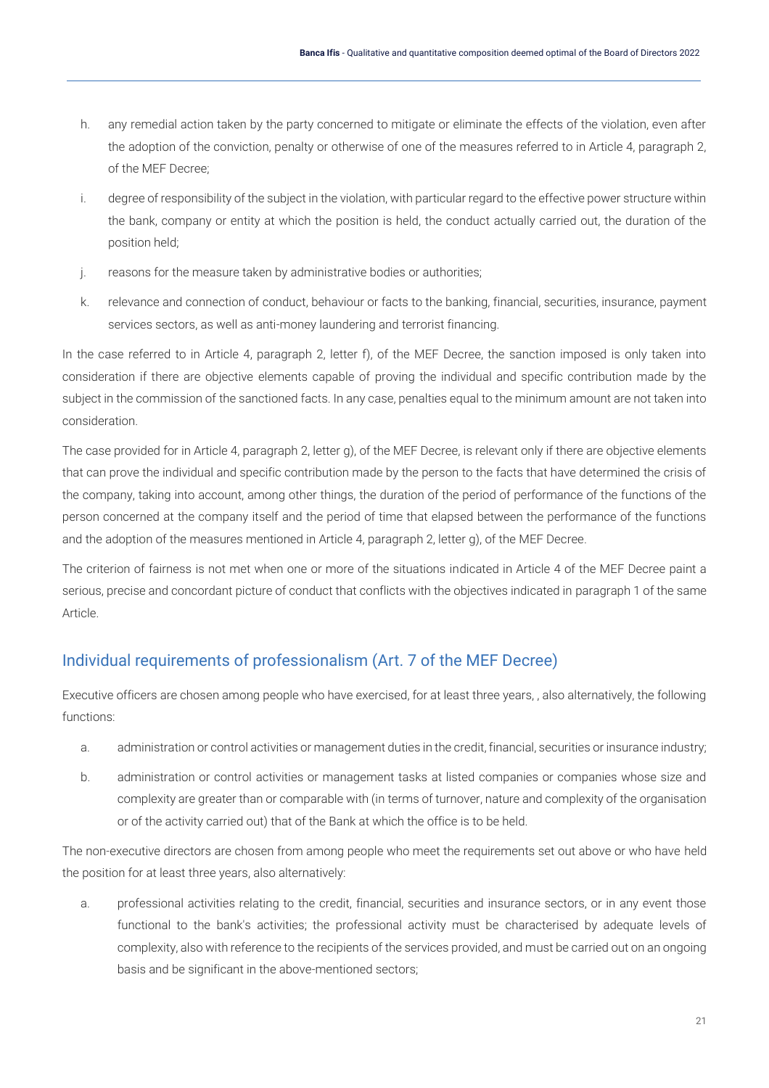- h. any remedial action taken by the party concerned to mitigate or eliminate the effects of the violation, even after the adoption of the conviction, penalty or otherwise of one of the measures referred to in Article 4, paragraph 2, of the MEF Decree;
- i. degree of responsibility of the subject in the violation, with particular regard to the effective power structure within the bank, company or entity at which the position is held, the conduct actually carried out, the duration of the position held;
- j. reasons for the measure taken by administrative bodies or authorities;
- k. relevance and connection of conduct, behaviour or facts to the banking, financial, securities, insurance, payment services sectors, as well as anti-money laundering and terrorist financing.

In the case referred to in Article 4, paragraph 2, letter f), of the MEF Decree, the sanction imposed is only taken into consideration if there are objective elements capable of proving the individual and specific contribution made by the subject in the commission of the sanctioned facts. In any case, penalties equal to the minimum amount are not taken into consideration.

The case provided for in Article 4, paragraph 2, letter g), of the MEF Decree, is relevant only if there are objective elements that can prove the individual and specific contribution made by the person to the facts that have determined the crisis of the company, taking into account, among other things, the duration of the period of performance of the functions of the person concerned at the company itself and the period of time that elapsed between the performance of the functions and the adoption of the measures mentioned in Article 4, paragraph 2, letter g), of the MEF Decree.

The criterion of fairness is not met when one or more of the situations indicated in Article 4 of the MEF Decree paint a serious, precise and concordant picture of conduct that conflicts with the objectives indicated in paragraph 1 of the same Article.

#### <span id="page-21-0"></span>Individual requirements of professionalism (Art. 7 of the MEF Decree)

Executive officers are chosen among people who have exercised, for at least three years, , also alternatively, the following functions:

- a. administration or control activities or management duties in the credit, financial, securities or insurance industry;
- b. administration or control activities or management tasks at listed companies or companies whose size and complexity are greater than or comparable with (in terms of turnover, nature and complexity of the organisation or of the activity carried out) that of the Bank at which the office is to be held.

The non-executive directors are chosen from among people who meet the requirements set out above or who have held the position for at least three years, also alternatively:

a. professional activities relating to the credit, financial, securities and insurance sectors, or in any event those functional to the bank's activities; the professional activity must be characterised by adequate levels of complexity, also with reference to the recipients of the services provided, and must be carried out on an ongoing basis and be significant in the above-mentioned sectors;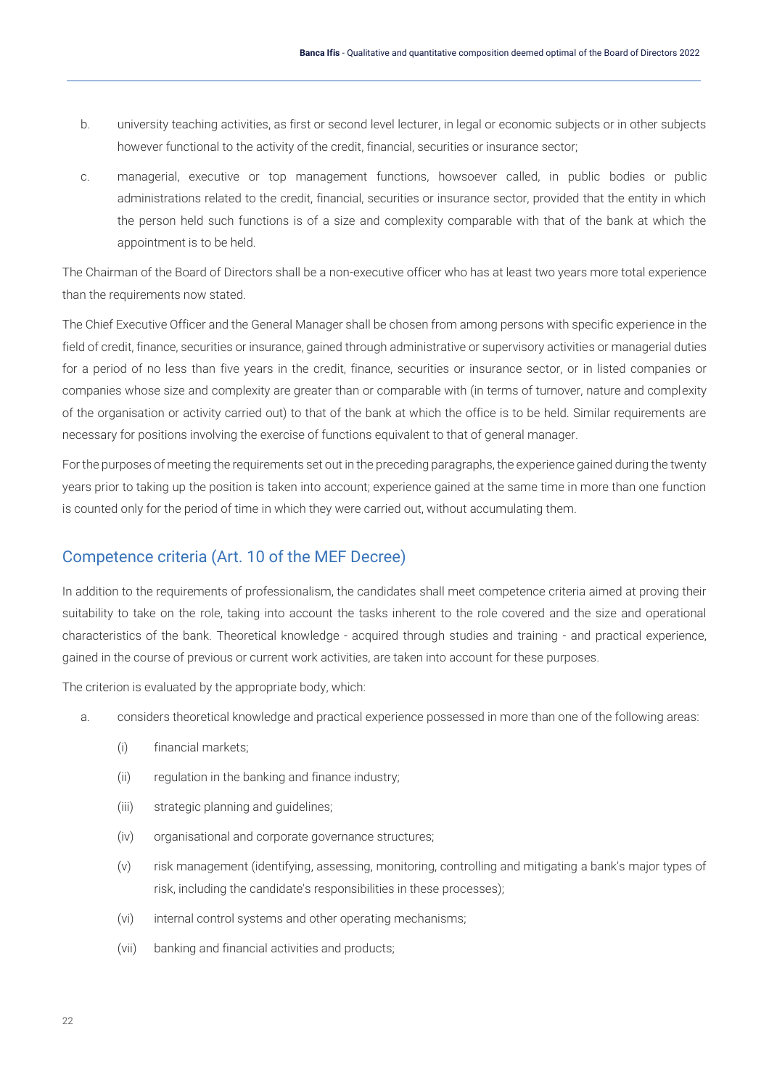- b. university teaching activities, as first or second level lecturer, in legal or economic subjects or in other subjects however functional to the activity of the credit, financial, securities or insurance sector;
- c. managerial, executive or top management functions, howsoever called, in public bodies or public administrations related to the credit, financial, securities or insurance sector, provided that the entity in which the person held such functions is of a size and complexity comparable with that of the bank at which the appointment is to be held.

The Chairman of the Board of Directors shall be a non-executive officer who has at least two years more total experience than the requirements now stated.

The Chief Executive Officer and the General Manager shall be chosen from among persons with specific experience in the field of credit, finance, securities or insurance, gained through administrative or supervisory activities or managerial duties for a period of no less than five years in the credit, finance, securities or insurance sector, or in listed companies or companies whose size and complexity are greater than or comparable with (in terms of turnover, nature and complexity of the organisation or activity carried out) to that of the bank at which the office is to be held. Similar requirements are necessary for positions involving the exercise of functions equivalent to that of general manager.

For the purposes of meeting the requirements set out in the preceding paragraphs, the experience gained during the twenty years prior to taking up the position is taken into account; experience gained at the same time in more than one function is counted only for the period of time in which they were carried out, without accumulating them.

#### <span id="page-22-0"></span>Competence criteria (Art. 10 of the MEF Decree)

In addition to the requirements of professionalism, the candidates shall meet competence criteria aimed at proving their suitability to take on the role, taking into account the tasks inherent to the role covered and the size and operational characteristics of the bank. Theoretical knowledge - acquired through studies and training - and practical experience, gained in the course of previous or current work activities, are taken into account for these purposes.

The criterion is evaluated by the appropriate body, which:

- a. considers theoretical knowledge and practical experience possessed in more than one of the following areas:
	- (i) financial markets;
	- (ii) regulation in the banking and finance industry;
	- (iii) strategic planning and guidelines;
	- (iv) organisational and corporate governance structures;
	- (v) risk management (identifying, assessing, monitoring, controlling and mitigating a bank's major types of risk, including the candidate's responsibilities in these processes);
	- (vi) internal control systems and other operating mechanisms;
	- (vii) banking and financial activities and products;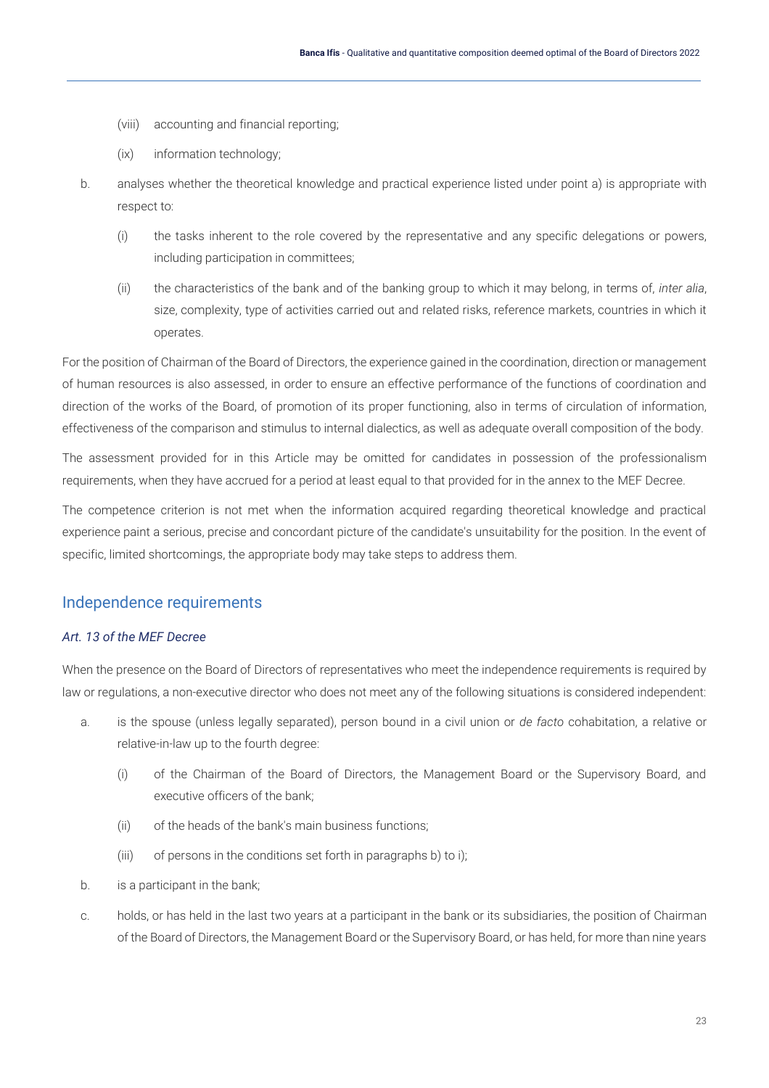- (viii) accounting and financial reporting;
- (ix) information technology;
- b. analyses whether the theoretical knowledge and practical experience listed under point a) is appropriate with respect to:
	- (i) the tasks inherent to the role covered by the representative and any specific delegations or powers, including participation in committees;
	- (ii) the characteristics of the bank and of the banking group to which it may belong, in terms of, *inter alia*, size, complexity, type of activities carried out and related risks, reference markets, countries in which it operates.

For the position of Chairman of the Board of Directors, the experience gained in the coordination, direction or management of human resources is also assessed, in order to ensure an effective performance of the functions of coordination and direction of the works of the Board, of promotion of its proper functioning, also in terms of circulation of information, effectiveness of the comparison and stimulus to internal dialectics, as well as adequate overall composition of the body.

The assessment provided for in this Article may be omitted for candidates in possession of the professionalism requirements, when they have accrued for a period at least equal to that provided for in the annex to the MEF Decree.

The competence criterion is not met when the information acquired regarding theoretical knowledge and practical experience paint a serious, precise and concordant picture of the candidate's unsuitability for the position. In the event of specific, limited shortcomings, the appropriate body may take steps to address them.

#### <span id="page-23-0"></span>Independence requirements

#### *Art. 13 of the MEF Decree*

When the presence on the Board of Directors of representatives who meet the independence requirements is required by law or regulations, a non-executive director who does not meet any of the following situations is considered independent:

- a. is the spouse (unless legally separated), person bound in a civil union or *de facto* cohabitation, a relative or relative-in-law up to the fourth degree:
	- (i) of the Chairman of the Board of Directors, the Management Board or the Supervisory Board, and executive officers of the bank;
	- (ii) of the heads of the bank's main business functions;
	- (iii) of persons in the conditions set forth in paragraphs b) to i);
- b. is a participant in the bank;
- c. holds, or has held in the last two years at a participant in the bank or its subsidiaries, the position of Chairman of the Board of Directors, the Management Board or the Supervisory Board, or has held, for more than nine years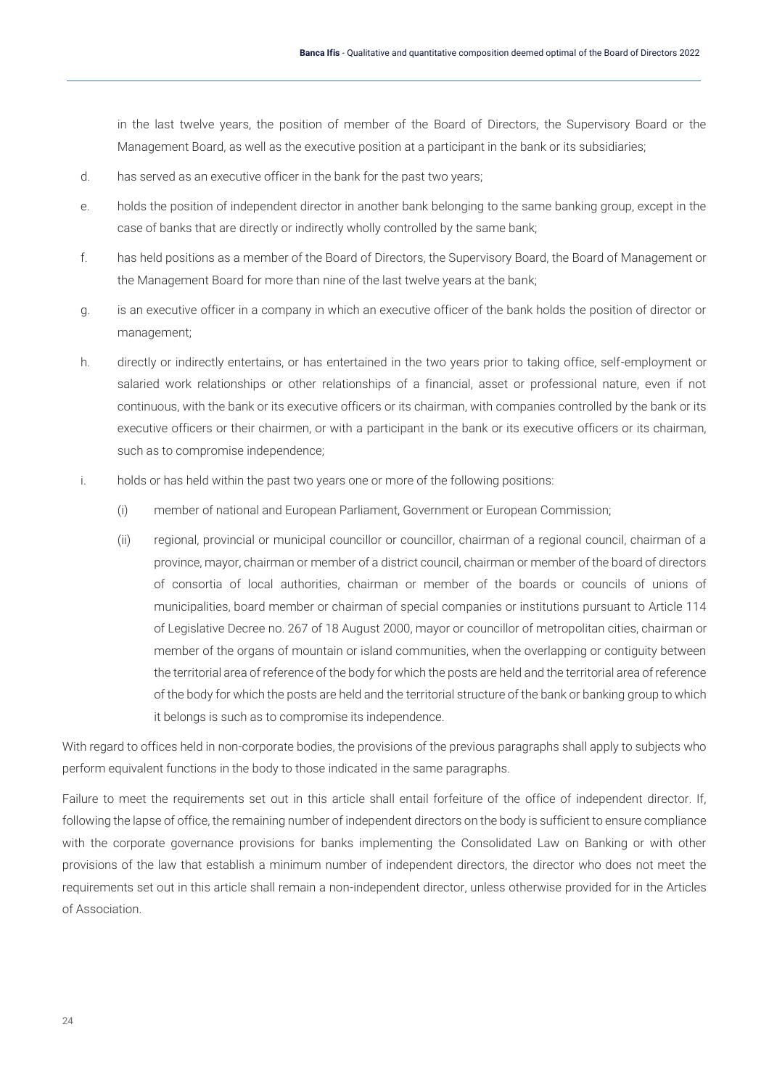in the last twelve years, the position of member of the Board of Directors, the Supervisory Board or the Management Board, as well as the executive position at a participant in the bank or its subsidiaries;

- d. has served as an executive officer in the bank for the past two years;
- e. holds the position of independent director in another bank belonging to the same banking group, except in the case of banks that are directly or indirectly wholly controlled by the same bank;
- f. has held positions as a member of the Board of Directors, the Supervisory Board, the Board of Management or the Management Board for more than nine of the last twelve years at the bank;
- g. is an executive officer in a company in which an executive officer of the bank holds the position of director or management;
- h. directly or indirectly entertains, or has entertained in the two years prior to taking office, self-employment or salaried work relationships or other relationships of a financial, asset or professional nature, even if not continuous, with the bank or its executive officers or its chairman, with companies controlled by the bank or its executive officers or their chairmen, or with a participant in the bank or its executive officers or its chairman, such as to compromise independence;
- i. holds or has held within the past two years one or more of the following positions:
	- (i) member of national and European Parliament, Government or European Commission;
	- (ii) regional, provincial or municipal councillor or councillor, chairman of a regional council, chairman of a province, mayor, chairman or member of a district council, chairman or member of the board of directors of consortia of local authorities, chairman or member of the boards or councils of unions of municipalities, board member or chairman of special companies or institutions pursuant to Article 114 of Legislative Decree no. 267 of 18 August 2000, mayor or councillor of metropolitan cities, chairman or member of the organs of mountain or island communities, when the overlapping or contiguity between the territorial area of reference of the body for which the posts are held and the territorial area of reference of the body for which the posts are held and the territorial structure of the bank or banking group to which it belongs is such as to compromise its independence.

With regard to offices held in non-corporate bodies, the provisions of the previous paragraphs shall apply to subjects who perform equivalent functions in the body to those indicated in the same paragraphs.

Failure to meet the requirements set out in this article shall entail forfeiture of the office of independent director. If, following the lapse of office, the remaining number of independent directors on the body is sufficient to ensure compliance with the corporate governance provisions for banks implementing the Consolidated Law on Banking or with other provisions of the law that establish a minimum number of independent directors, the director who does not meet the requirements set out in this article shall remain a non-independent director, unless otherwise provided for in the Articles of Association.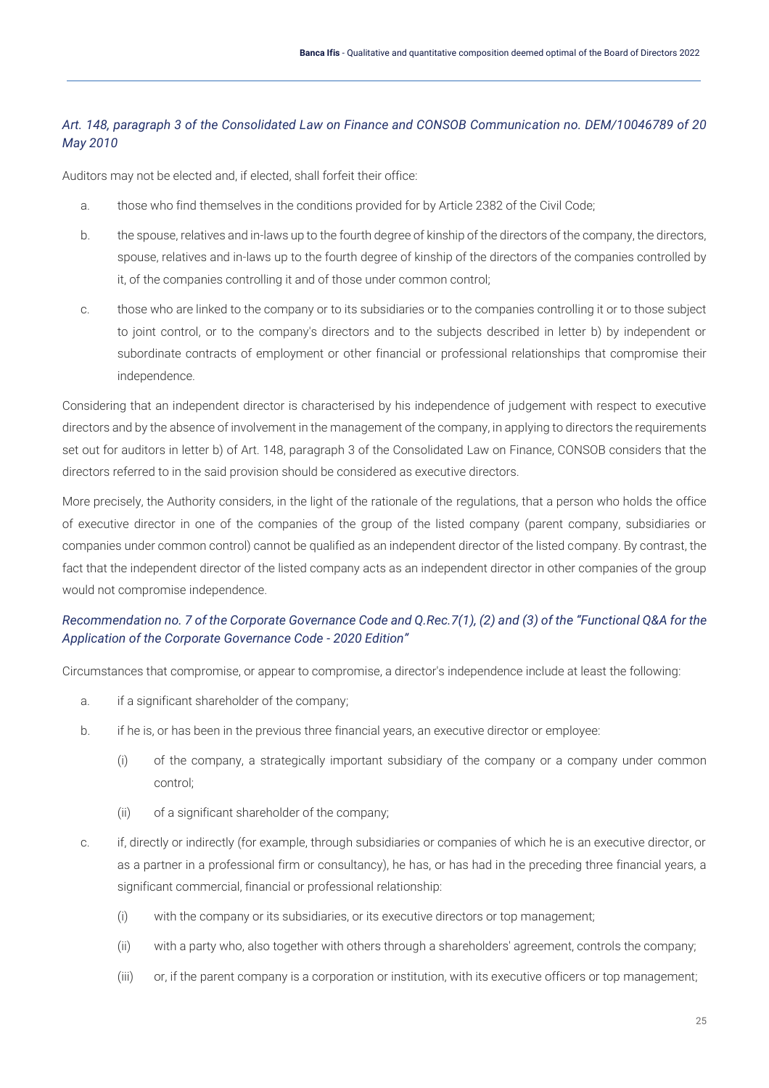#### *Art. 148, paragraph 3 of the Consolidated Law on Finance and CONSOB Communication no. DEM/10046789 of 20 May 2010*

Auditors may not be elected and, if elected, shall forfeit their office:

- a. those who find themselves in the conditions provided for by Article 2382 of the Civil Code;
- b. the spouse, relatives and in-laws up to the fourth degree of kinship of the directors of the company, the directors, spouse, relatives and in-laws up to the fourth degree of kinship of the directors of the companies controlled by it, of the companies controlling it and of those under common control;
- c. those who are linked to the company or to its subsidiaries or to the companies controlling it or to those subject to joint control, or to the company's directors and to the subjects described in letter b) by independent or subordinate contracts of employment or other financial or professional relationships that compromise their independence.

Considering that an independent director is characterised by his independence of judgement with respect to executive directors and by the absence of involvement in the management of the company, in applying to directors the requirements set out for auditors in letter b) of Art. 148, paragraph 3 of the Consolidated Law on Finance, CONSOB considers that the directors referred to in the said provision should be considered as executive directors.

More precisely, the Authority considers, in the light of the rationale of the regulations, that a person who holds the office of executive director in one of the companies of the group of the listed company (parent company, subsidiaries or companies under common control) cannot be qualified as an independent director of the listed company. By contrast, the fact that the independent director of the listed company acts as an independent director in other companies of the group would not compromise independence.

#### *Recommendation no. 7 of the Corporate Governance Code and Q.Rec.7(1), (2) and (3) of the "Functional Q&A for the Application of the Corporate Governance Code - 2020 Edition"*

Circumstances that compromise, or appear to compromise, a director's independence include at least the following:

- a. if a significant shareholder of the company;
- b. if he is, or has been in the previous three financial years, an executive director or employee:
	- (i) of the company, a strategically important subsidiary of the company or a company under common control;
	- (ii) of a significant shareholder of the company;
- c. if, directly or indirectly (for example, through subsidiaries or companies of which he is an executive director, or as a partner in a professional firm or consultancy), he has, or has had in the preceding three financial years, a significant commercial, financial or professional relationship:
	- (i) with the company or its subsidiaries, or its executive directors or top management;
	- (ii) with a party who, also together with others through a shareholders' agreement, controls the company;
	- (iii) or, if the parent company is a corporation or institution, with its executive officers or top management;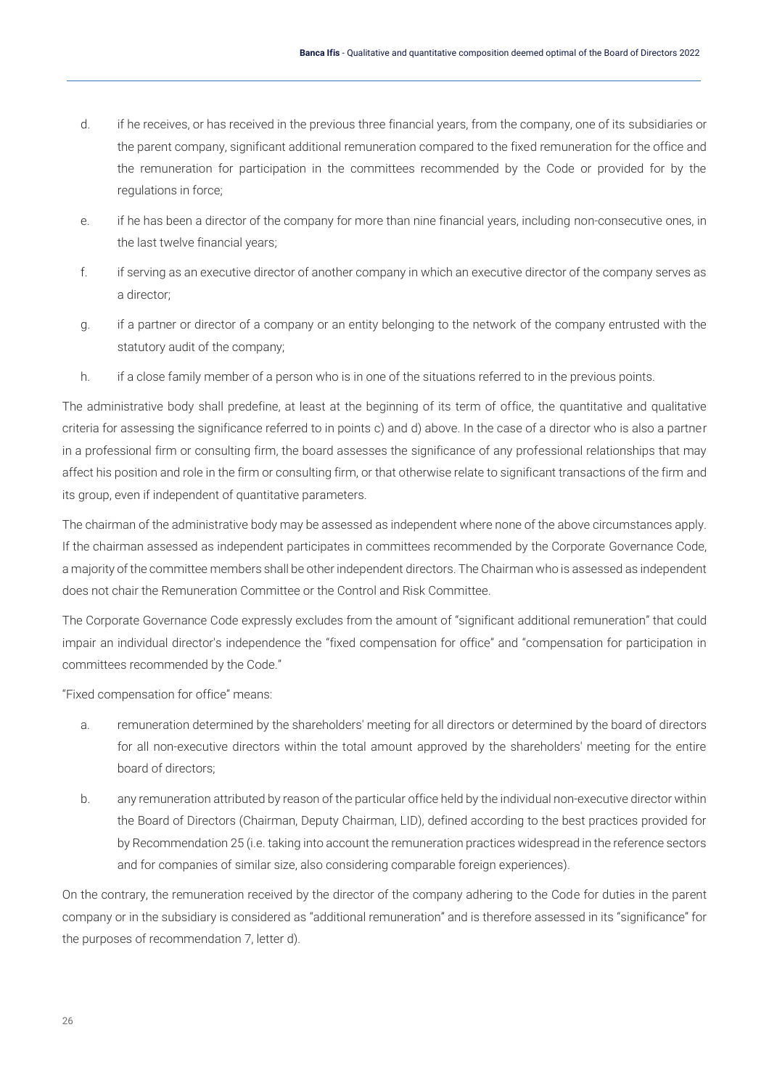- d. if he receives, or has received in the previous three financial years, from the company, one of its subsidiaries or the parent company, significant additional remuneration compared to the fixed remuneration for the office and the remuneration for participation in the committees recommended by the Code or provided for by the regulations in force;
- e. if he has been a director of the company for more than nine financial years, including non-consecutive ones, in the last twelve financial years;
- f. if serving as an executive director of another company in which an executive director of the company serves as a director;
- g. if a partner or director of a company or an entity belonging to the network of the company entrusted with the statutory audit of the company;
- h. if a close family member of a person who is in one of the situations referred to in the previous points.

The administrative body shall predefine, at least at the beginning of its term of office, the quantitative and qualitative criteria for assessing the significance referred to in points c) and d) above. In the case of a director who is also a partner in a professional firm or consulting firm, the board assesses the significance of any professional relationships that may affect his position and role in the firm or consulting firm, or that otherwise relate to significant transactions of the firm and its group, even if independent of quantitative parameters.

The chairman of the administrative body may be assessed as independent where none of the above circumstances apply. If the chairman assessed as independent participates in committees recommended by the Corporate Governance Code, a majority of the committee members shall be other independent directors. The Chairman who is assessed as independent does not chair the Remuneration Committee or the Control and Risk Committee.

The Corporate Governance Code expressly excludes from the amount of "significant additional remuneration" that could impair an individual director's independence the "fixed compensation for office" and "compensation for participation in committees recommended by the Code."

"Fixed compensation for office" means:

- a. remuneration determined by the shareholders' meeting for all directors or determined by the board of directors for all non-executive directors within the total amount approved by the shareholders' meeting for the entire board of directors;
- b. any remuneration attributed by reason of the particular office held by the individual non-executive director within the Board of Directors (Chairman, Deputy Chairman, LID), defined according to the best practices provided for by Recommendation 25 (i.e. taking into account the remuneration practices widespread in the reference sectors and for companies of similar size, also considering comparable foreign experiences).

On the contrary, the remuneration received by the director of the company adhering to the Code for duties in the parent company or in the subsidiary is considered as "additional remuneration" and is therefore assessed in its "significance" for the purposes of recommendation 7, letter d).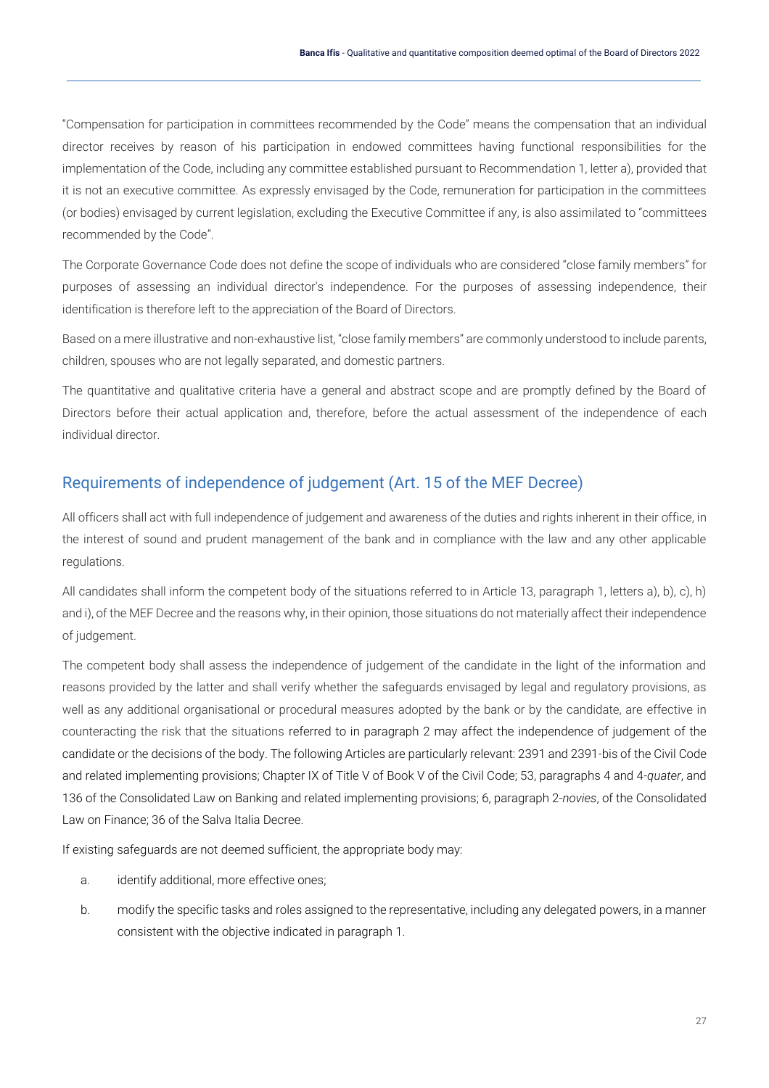"Compensation for participation in committees recommended by the Code" means the compensation that an individual director receives by reason of his participation in endowed committees having functional responsibilities for the implementation of the Code, including any committee established pursuant to Recommendation 1, letter a), provided that it is not an executive committee. As expressly envisaged by the Code, remuneration for participation in the committees (or bodies) envisaged by current legislation, excluding the Executive Committee if any, is also assimilated to "committees recommended by the Code".

The Corporate Governance Code does not define the scope of individuals who are considered "close family members" for purposes of assessing an individual director's independence. For the purposes of assessing independence, their identification is therefore left to the appreciation of the Board of Directors.

Based on a mere illustrative and non-exhaustive list, "close family members" are commonly understood to include parents, children, spouses who are not legally separated, and domestic partners.

The quantitative and qualitative criteria have a general and abstract scope and are promptly defined by the Board of Directors before their actual application and, therefore, before the actual assessment of the independence of each individual director.

#### <span id="page-27-0"></span>Requirements of independence of judgement (Art. 15 of the MEF Decree)

All officers shall act with full independence of judgement and awareness of the duties and rights inherent in their office, in the interest of sound and prudent management of the bank and in compliance with the law and any other applicable regulations.

All candidates shall inform the competent body of the situations referred to in Article 13, paragraph 1, letters a), b), c), h) and i), of the MEF Decree and the reasons why, in their opinion, those situations do not materially affect their independence of judgement.

The competent body shall assess the independence of judgement of the candidate in the light of the information and reasons provided by the latter and shall verify whether the safeguards envisaged by legal and regulatory provisions, as well as any additional organisational or procedural measures adopted by the bank or by the candidate, are effective in counteracting the risk that the situations referred to in paragraph 2 may affect the independence of judgement of the candidate or the decisions of the body. The following Articles are particularly relevant: 2391 and 2391-bis of the Civil Code and related implementing provisions; Chapter IX of Title V of Book V of the Civil Code; 53, paragraphs 4 and 4-*quater*, and 136 of the Consolidated Law on Banking and related implementing provisions; 6, paragraph 2-*novies*, of the Consolidated Law on Finance; 36 of the Salva Italia Decree.

If existing safeguards are not deemed sufficient, the appropriate body may:

- a. identify additional, more effective ones;
- b. modify the specific tasks and roles assigned to the representative, including any delegated powers, in a manner consistent with the objective indicated in paragraph 1.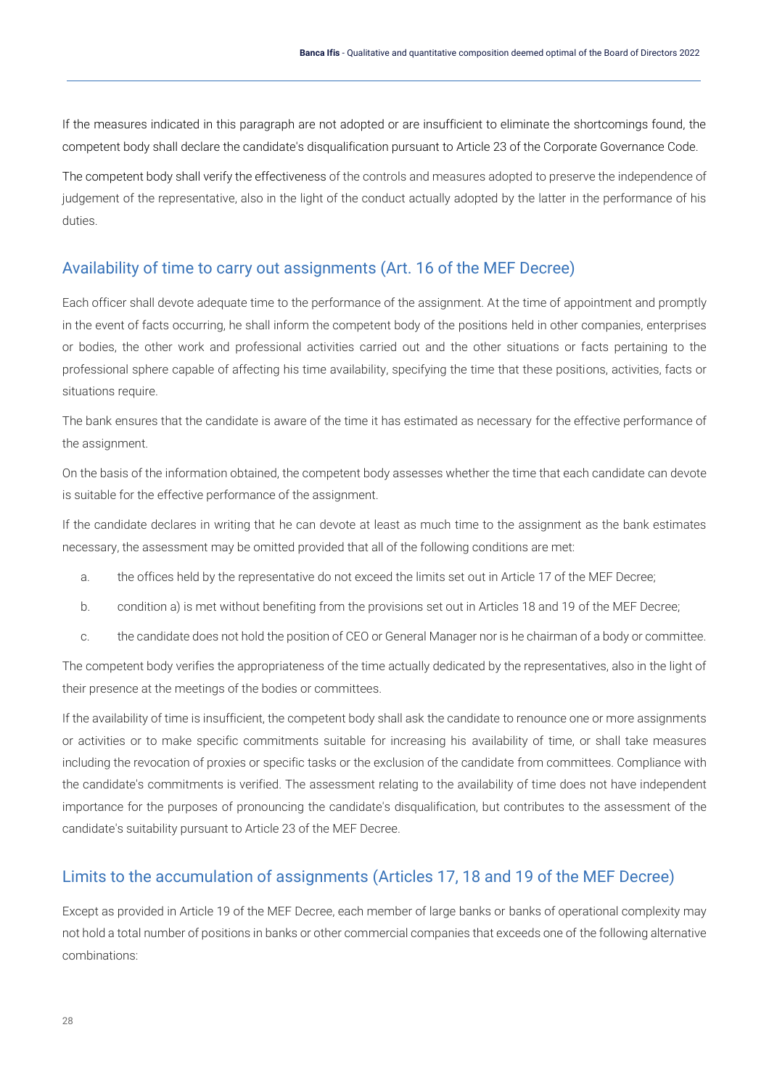If the measures indicated in this paragraph are not adopted or are insufficient to eliminate the shortcomings found, the competent body shall declare the candidate's disqualification pursuant to Article 23 of the Corporate Governance Code.

The competent body shall verify the effectiveness of the controls and measures adopted to preserve the independence of judgement of the representative, also in the light of the conduct actually adopted by the latter in the performance of his duties.

#### <span id="page-28-0"></span>Availability of time to carry out assignments (Art. 16 of the MEF Decree)

Each officer shall devote adequate time to the performance of the assignment. At the time of appointment and promptly in the event of facts occurring, he shall inform the competent body of the positions held in other companies, enterprises or bodies, the other work and professional activities carried out and the other situations or facts pertaining to the professional sphere capable of affecting his time availability, specifying the time that these positions, activities, facts or situations require.

The bank ensures that the candidate is aware of the time it has estimated as necessary for the effective performance of the assignment.

On the basis of the information obtained, the competent body assesses whether the time that each candidate can devote is suitable for the effective performance of the assignment.

If the candidate declares in writing that he can devote at least as much time to the assignment as the bank estimates necessary, the assessment may be omitted provided that all of the following conditions are met:

- a. the offices held by the representative do not exceed the limits set out in Article 17 of the MEF Decree;
- b. condition a) is met without benefiting from the provisions set out in Articles 18 and 19 of the MEF Decree;
- c. the candidate does not hold the position of CEO or General Manager nor is he chairman of a body or committee.

The competent body verifies the appropriateness of the time actually dedicated by the representatives, also in the light of their presence at the meetings of the bodies or committees.

If the availability of time is insufficient, the competent body shall ask the candidate to renounce one or more assignments or activities or to make specific commitments suitable for increasing his availability of time, or shall take measures including the revocation of proxies or specific tasks or the exclusion of the candidate from committees. Compliance with the candidate's commitments is verified. The assessment relating to the availability of time does not have independent importance for the purposes of pronouncing the candidate's disqualification, but contributes to the assessment of the candidate's suitability pursuant to Article 23 of the MEF Decree.

#### <span id="page-28-1"></span>Limits to the accumulation of assignments (Articles 17, 18 and 19 of the MEF Decree)

Except as provided in Article 19 of the MEF Decree, each member of large banks or banks of operational complexity may not hold a total number of positions in banks or other commercial companies that exceeds one of the following alternative combinations: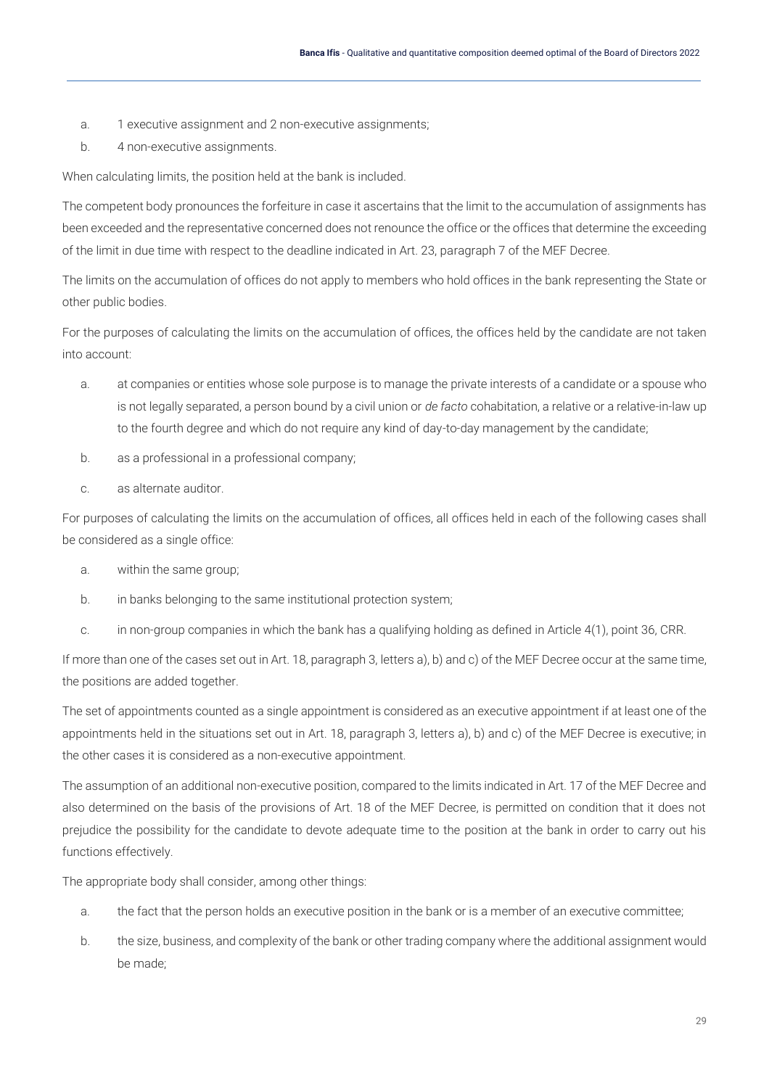- a. 1 executive assignment and 2 non-executive assignments;
- b. 4 non-executive assignments.

When calculating limits, the position held at the bank is included.

The competent body pronounces the forfeiture in case it ascertains that the limit to the accumulation of assignments has been exceeded and the representative concerned does not renounce the office or the offices that determine the exceeding of the limit in due time with respect to the deadline indicated in Art. 23, paragraph 7 of the MEF Decree.

The limits on the accumulation of offices do not apply to members who hold offices in the bank representing the State or other public bodies.

For the purposes of calculating the limits on the accumulation of offices, the offices held by the candidate are not taken into account:

- a. at companies or entities whose sole purpose is to manage the private interests of a candidate or a spouse who is not legally separated, a person bound by a civil union or *de facto* cohabitation, a relative or a relative-in-law up to the fourth degree and which do not require any kind of day-to-day management by the candidate;
- b. as a professional in a professional company;
- c. as alternate auditor.

For purposes of calculating the limits on the accumulation of offices, all offices held in each of the following cases shall be considered as a single office:

- a. within the same group;
- b. in banks belonging to the same institutional protection system;
- c. in non-group companies in which the bank has a qualifying holding as defined in Article 4(1), point 36, CRR.

If more than one of the cases set out in Art. 18, paragraph 3, letters a), b) and c) of the MEF Decree occur at the same time, the positions are added together.

The set of appointments counted as a single appointment is considered as an executive appointment if at least one of the appointments held in the situations set out in Art. 18, paragraph 3, letters a), b) and c) of the MEF Decree is executive; in the other cases it is considered as a non-executive appointment.

The assumption of an additional non-executive position, compared to the limits indicated in Art. 17 of the MEF Decree and also determined on the basis of the provisions of Art. 18 of the MEF Decree, is permitted on condition that it does not prejudice the possibility for the candidate to devote adequate time to the position at the bank in order to carry out his functions effectively.

The appropriate body shall consider, among other things:

- a. the fact that the person holds an executive position in the bank or is a member of an executive committee;
- b. the size, business, and complexity of the bank or other trading company where the additional assignment would be made;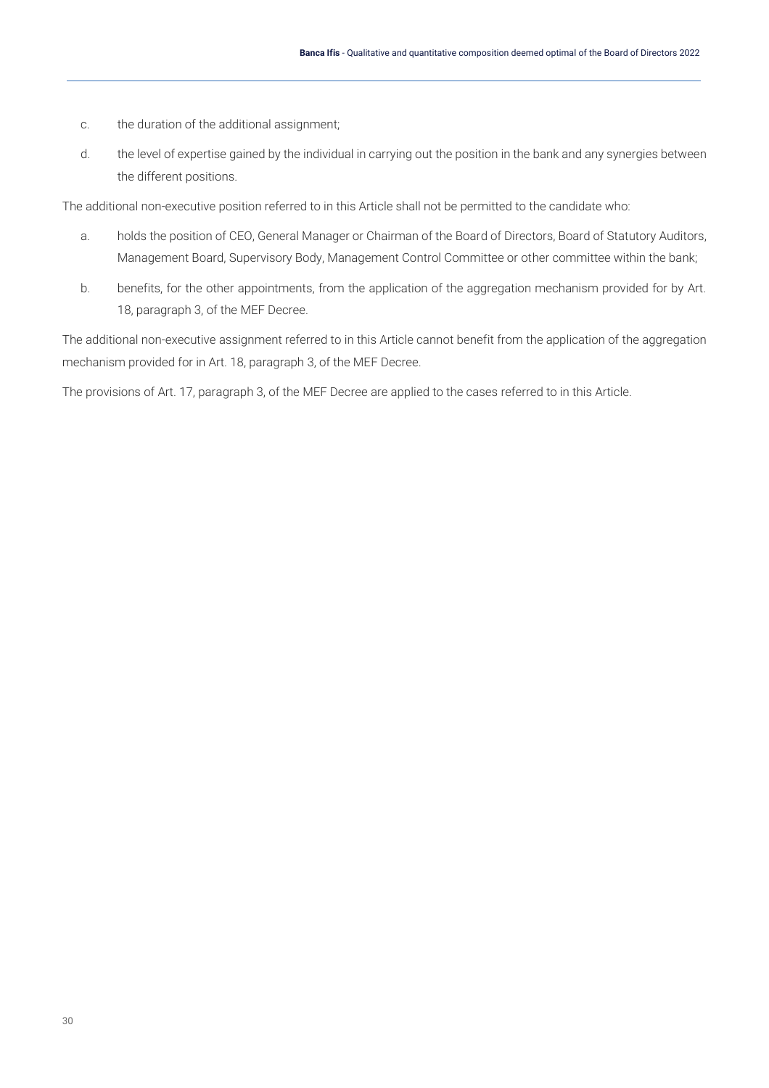- c. the duration of the additional assignment;
- d. the level of expertise gained by the individual in carrying out the position in the bank and any synergies between the different positions.

The additional non-executive position referred to in this Article shall not be permitted to the candidate who:

- a. holds the position of CEO, General Manager or Chairman of the Board of Directors, Board of Statutory Auditors, Management Board, Supervisory Body, Management Control Committee or other committee within the bank;
- b. benefits, for the other appointments, from the application of the aggregation mechanism provided for by Art. 18, paragraph 3, of the MEF Decree.

The additional non-executive assignment referred to in this Article cannot benefit from the application of the aggregation mechanism provided for in Art. 18, paragraph 3, of the MEF Decree.

The provisions of Art. 17, paragraph 3, of the MEF Decree are applied to the cases referred to in this Article.